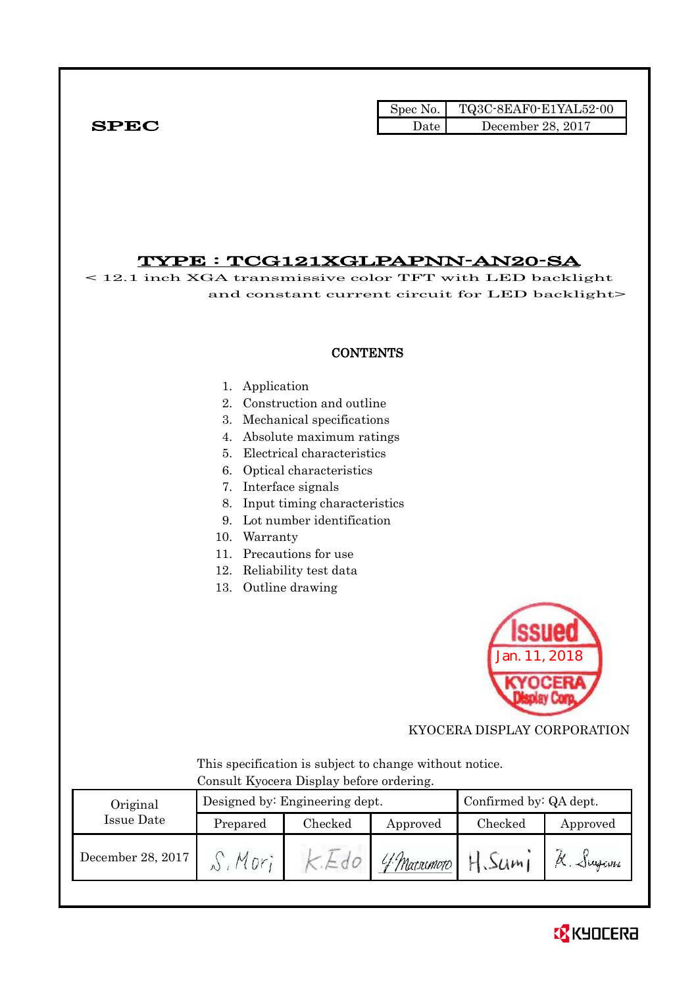|              | Spec No. $\vert$ | TQ3C-8EAF0-E1YAL52-00 |
|--------------|------------------|-----------------------|
| ${\bf SPEC}$ | Date             | December 28, 2017     |

## TYPE : TCG121XGLPAPNN-AN20-SA

< 12.1 inch XGA transmissive color TFT with LED backlight and constant current circuit for LED backlight>

## **CONTENTS**

#### 1. Application

- 2. Construction and outline
- 3. Mechanical specifications
- 4. Absolute maximum ratings
- 5. Electrical characteristics
- 6. Optical characteristics
- 7. Interface signals
- 8. Input timing characteristics
- 9. Lot number identification
- 10. Warranty
- 11. Precautions for use
- 12. Reliability test data
- 13. Outline drawing



KYOCERA DISPLAY CORPORATION

 This specification is subject to change without notice. Consult Kyocera Display before ordering.

| Original          |          | Designed by: Engineering dept. | Confirmed by: QA dept. |         |          |
|-------------------|----------|--------------------------------|------------------------|---------|----------|
| Issue Date        | Prepared | Checked                        | Approved               | Checked | Approved |
| December 28, 2017 |          |                                | 'f Matsumoto           | H.Sum1  | K. Siyam |

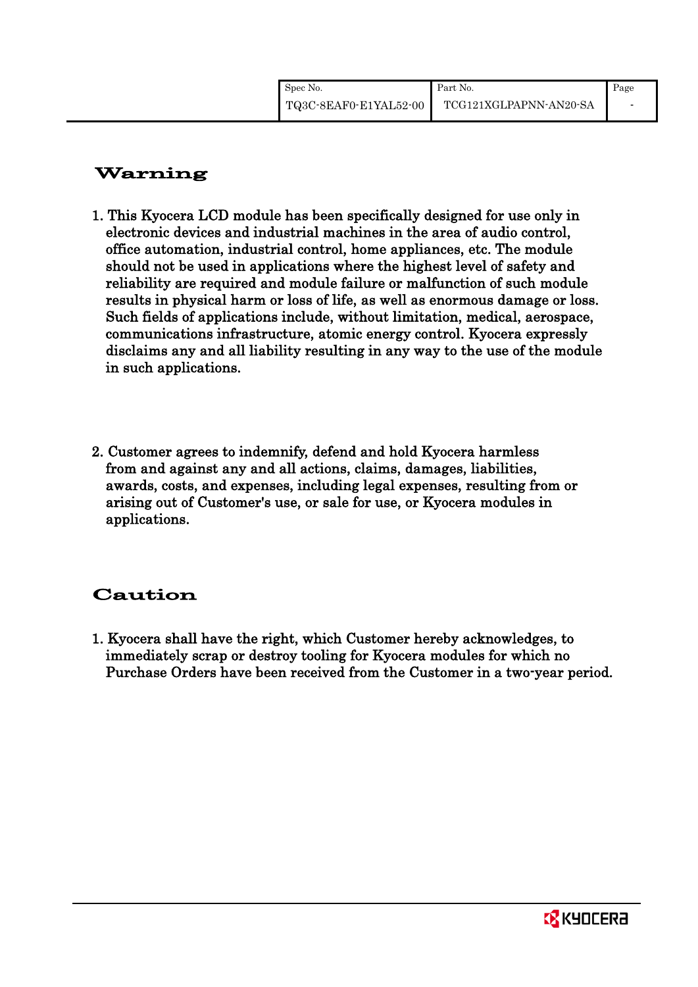| Spec No.              | Part No.               | Page |
|-----------------------|------------------------|------|
| TQ3C-8EAF0-E1YAL52-00 | TCG121XGLPAPNN-AN20-SA |      |

# Warning

- 1. This Kyocera LCD module has been specifically designed for use only in electronic devices and industrial machines in the area of audio control, office automation, industrial control, home appliances, etc. The module should not be used in applications where the highest level of safety and reliability are required and module failure or malfunction of such module results in physical harm or loss of life, as well as enormous damage or loss. Such fields of applications include, without limitation, medical, aerospace, communications infrastructure, atomic energy control. Kyocera expressly disclaims any and all liability resulting in any way to the use of the module in such applications.
- 2. Customer agrees to indemnify, defend and hold Kyocera harmless from and against any and all actions, claims, damages, liabilities, awards, costs, and expenses, including legal expenses, resulting from or arising out of Customer's use, or sale for use, or Kyocera modules in applications.

# Caution

1. Kyocera shall have the right, which Customer hereby acknowledges, to immediately scrap or destroy tooling for Kyocera modules for which no Purchase Orders have been received from the Customer in a two-year period.

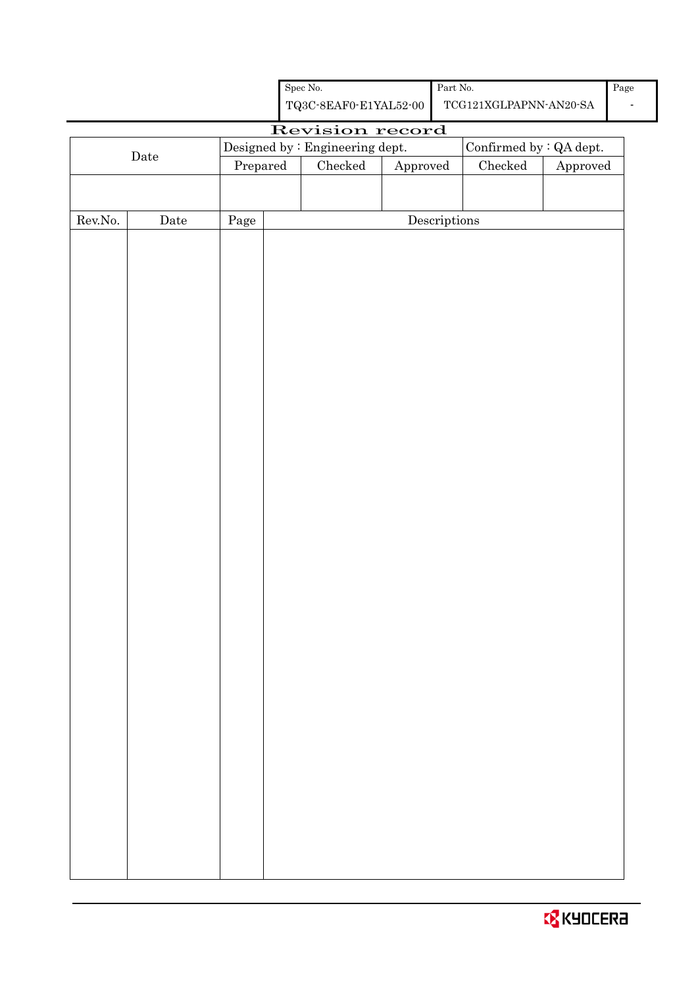| Spec No.              | Part No.               | Page |
|-----------------------|------------------------|------|
| TQ3C-8EAF0-E1YAL52-00 | TCG121XGLPAPNN-AN20-SA |      |

# Revision record

|                  |                      |          | Designed by : Engineering dept. |                 | Confirmed by $\colon$ QA dept.       |               |                        |
|------------------|----------------------|----------|---------------------------------|-----------------|--------------------------------------|---------------|------------------------|
|                  | $\rm{\textbf{Date}}$ | Prepared |                                 | ${\it Checked}$ | Approved                             | $\rm Checked$ | ${\Large\bf Approved}$ |
|                  |                      |          |                                 |                 |                                      |               |                        |
|                  |                      |          |                                 |                 |                                      |               |                        |
| ${\rm Rev. No.}$ | $\rm{\textbf{Date}}$ | Page     |                                 |                 | $\label{eq:2} \textbf{Descriptions}$ |               |                        |
|                  |                      |          |                                 |                 |                                      |               |                        |
|                  |                      |          |                                 |                 |                                      |               |                        |
|                  |                      |          |                                 |                 |                                      |               |                        |
|                  |                      |          |                                 |                 |                                      |               |                        |
|                  |                      |          |                                 |                 |                                      |               |                        |
|                  |                      |          |                                 |                 |                                      |               |                        |
|                  |                      |          |                                 |                 |                                      |               |                        |
|                  |                      |          |                                 |                 |                                      |               |                        |
|                  |                      |          |                                 |                 |                                      |               |                        |
|                  |                      |          |                                 |                 |                                      |               |                        |
|                  |                      |          |                                 |                 |                                      |               |                        |
|                  |                      |          |                                 |                 |                                      |               |                        |
|                  |                      |          |                                 |                 |                                      |               |                        |
|                  |                      |          |                                 |                 |                                      |               |                        |
|                  |                      |          |                                 |                 |                                      |               |                        |
|                  |                      |          |                                 |                 |                                      |               |                        |
|                  |                      |          |                                 |                 |                                      |               |                        |
|                  |                      |          |                                 |                 |                                      |               |                        |
|                  |                      |          |                                 |                 |                                      |               |                        |
|                  |                      |          |                                 |                 |                                      |               |                        |
|                  |                      |          |                                 |                 |                                      |               |                        |
|                  |                      |          |                                 |                 |                                      |               |                        |
|                  |                      |          |                                 |                 |                                      |               |                        |
|                  |                      |          |                                 |                 |                                      |               |                        |
|                  |                      |          |                                 |                 |                                      |               |                        |
|                  |                      |          |                                 |                 |                                      |               |                        |
|                  |                      |          |                                 |                 |                                      |               |                        |
|                  |                      |          |                                 |                 |                                      |               |                        |
|                  |                      |          |                                 |                 |                                      |               |                        |
|                  |                      |          |                                 |                 |                                      |               |                        |
|                  |                      |          |                                 |                 |                                      |               |                        |
|                  |                      |          |                                 |                 |                                      |               |                        |
|                  |                      |          |                                 |                 |                                      |               |                        |

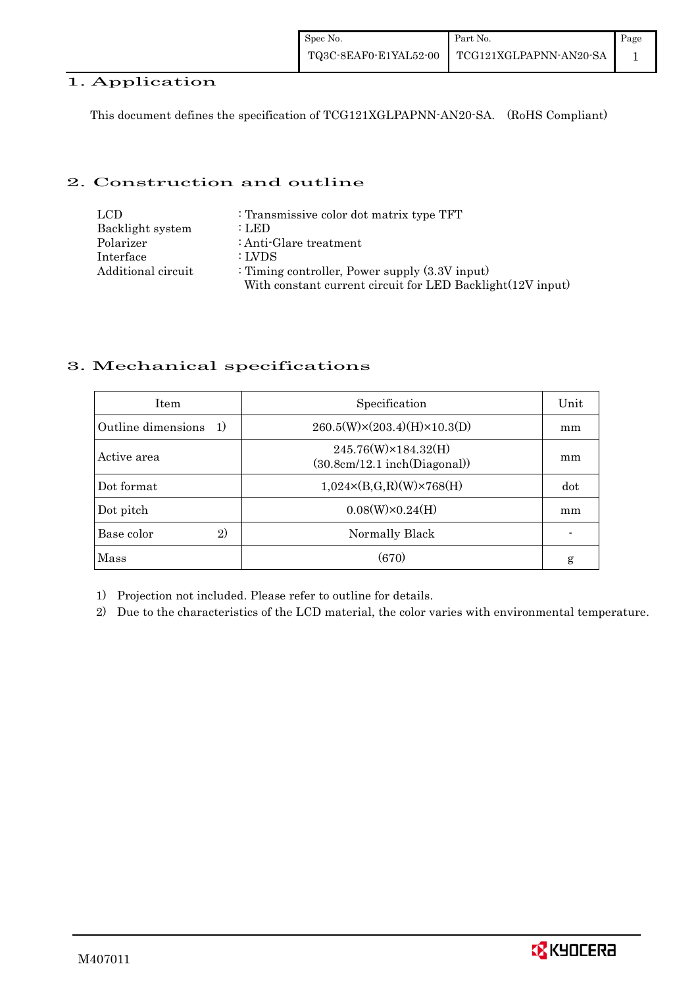## 1. Application

This document defines the specification of TCG121XGLPAPNN-AN20-SA. (RoHS Compliant)

## 2. Construction and outline

| LCD.               | : Transmissive color dot matrix type TFT                   |
|--------------------|------------------------------------------------------------|
| Backlight system   | : LED                                                      |
| Polarizer          | : Anti-Glare treatment                                     |
| Interface          | : LVDS                                                     |
| Additional circuit | : Timing controller, Power supply $(3.3V)$ input)          |
|                    | With constant current circuit for LED Backlight(12V input) |

## 3. Mechanical specifications

| <b>Item</b>                | Specification                                       | Unit |
|----------------------------|-----------------------------------------------------|------|
| Outline dimensions<br>1)   | $260.5(W)\times(203.4)(H)\times10.3(D)$             | mm   |
| Active area                | 245.76(W)×184.32(H)<br>(30.8cm/12.1~inch(Diagonal)) | mm   |
| Dot format                 | $1,024 \times (B,G,R)(W) \times 768(H)$             | dot  |
| Dot pitch                  | $0.08(W)\times0.24(H)$                              | mm   |
| Base color<br>$\mathbf{2}$ | Normally Black                                      |      |
| Mass                       | (670)                                               | g    |

1) Projection not included. Please refer to outline for details.

2) Due to the characteristics of the LCD material, the color varies with environmental temperature.

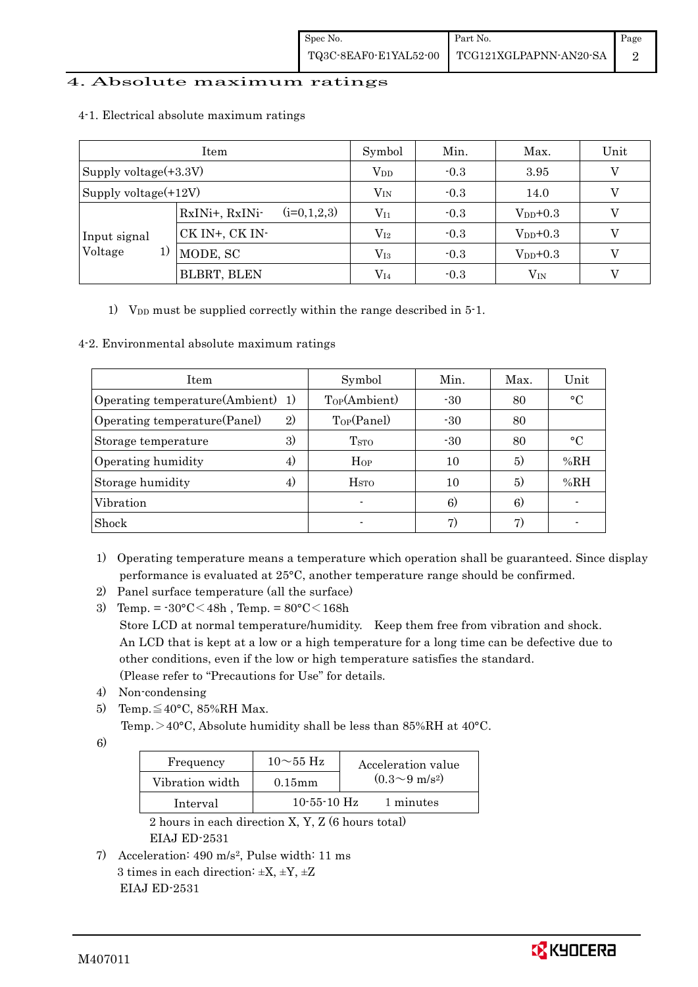## 4. Absolute maximum ratings

|                       | Symbol                          | Min.         | Max.   | Unit          |   |
|-----------------------|---------------------------------|--------------|--------|---------------|---|
| Supply voltage(+3.3V) |                                 | $V_{DD}$     | $-0.3$ | 3.95          | V |
| Supply voltage(+12V)  | $V_{\rm IN}$                    | $-0.3$       | 14.0   |               |   |
|                       | $(i=0,1,2,3)$<br>RxINi+, RxINi- | $\rm V_{I1}$ | $-0.3$ | $V_{DD}$ +0.3 |   |
| Input signal          | CK IN+, CK IN-                  | $\rm V_{I2}$ | $-0.3$ | $V_{DD}$ +0.3 |   |
| Voltage<br>1)         | MODE, SC                        | $\rm V_{I3}$ | $-0.3$ | $V_{DD}+0.3$  |   |
|                       | <b>BLBRT, BLEN</b>              | $\rm V_{I4}$ | $-0.3$ | $\rm V_{IN}$  |   |

#### 4-1. Electrical absolute maximum ratings

1) V<sub>DD</sub> must be supplied correctly within the range described in 5-1.

#### 4-2. Environmental absolute maximum ratings

| Item                              |    | Symbol                  | Min.  | Max. | Unit      |
|-----------------------------------|----|-------------------------|-------|------|-----------|
| Operating temperature(Ambient) 1) |    | Top(Ambient)            | $-30$ | 80   | $\circ$ C |
| Operating temperature (Panel)     | 2) | Top(Panel)              | $-30$ | 80   |           |
| Storage temperature               | 3) | <b>T</b> <sub>STO</sub> | $-30$ | 80   | $\circ$ C |
| Operating humidity                | 4) | Hop                     | 10    | 5)   | %RH       |
| Storage humidity                  | 4) | <b>H</b> <sub>sto</sub> | 10    | 5)   | %RH       |
| Vibration                         |    |                         | 6)    | 6)   |           |
| Shock                             |    | $\blacksquare$          | 7)    | 7)   |           |

- 1) Operating temperature means a temperature which operation shall be guaranteed. Since display performance is evaluated at 25°C, another temperature range should be confirmed.
- 2) Panel surface temperature (all the surface)
- 3) Temp. =  $-30^{\circ}$ C $<$ 48h, Temp. =  $80^{\circ}$ C $<$ 168h Store LCD at normal temperature/humidity. Keep them free from vibration and shock. An LCD that is kept at a low or a high temperature for a long time can be defective due to other conditions, even if the low or high temperature satisfies the standard. (Please refer to "Precautions for Use" for details.
- 4) Non-condensing
- 5) Temp. $\leq 40^{\circ}$ C, 85%RH Max.

Temp. >40°C, Absolute humidity shall be less than 85%RH at 40°C.

6)

| Frequency       | $10\sim$ 55 Hz    | Acceleration value         |
|-----------------|-------------------|----------------------------|
| Vibration width | $0.15$ m m        | $(0.3{\sim}9~{\rm m/s^2})$ |
| Interval        | $10 - 55 - 10$ Hz | 1 minutes                  |

 2 hours in each direction X, Y, Z (6 hours total) EIAJ ED-2531

7) Acceleration: 490 m/s2, Pulse width: 11 ms 3 times in each direction:  $\pm X$ ,  $\pm Y$ ,  $\pm Z$ EIAJ ED-2531

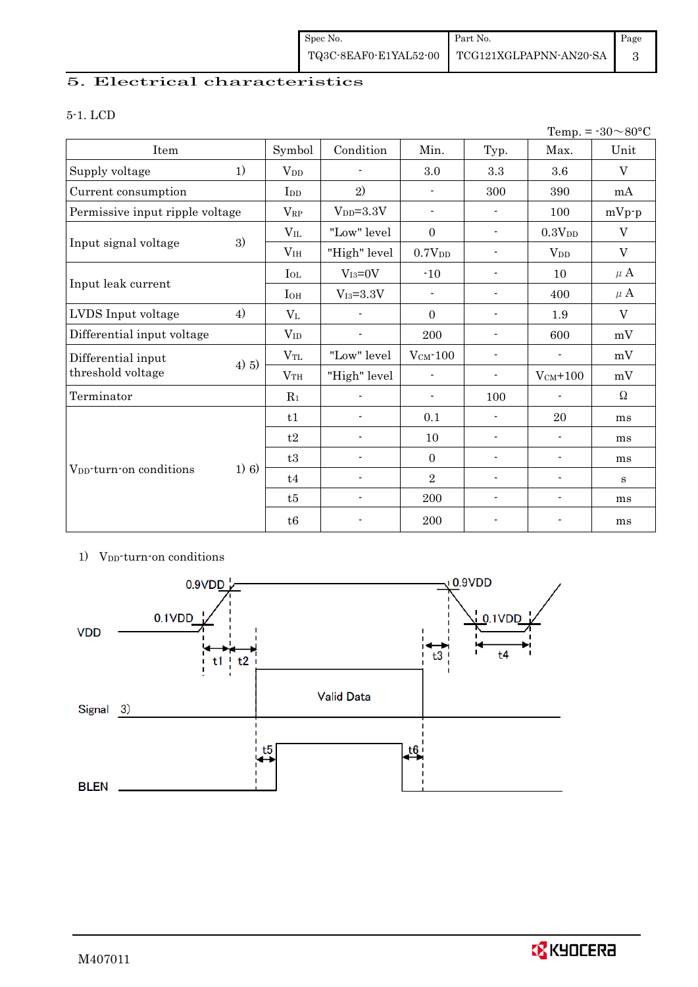## 5. Electrical characteristics

## 5-1. LCD

| Temp. = $-30 \sim 80$ °C            |         |                       |                          |                          |                          |                          |          |
|-------------------------------------|---------|-----------------------|--------------------------|--------------------------|--------------------------|--------------------------|----------|
| Item                                |         | Symbol                | Condition                | Min.                     | Typ.                     | Max.                     | Unit     |
| Supply voltage                      | 1)      | <b>V</b> <sub>D</sub> | $\overline{a}$           | 3.0                      | 3.3                      | 3.6                      | V        |
| Current consumption                 |         | I <sub>DD</sub>       | 2)                       | $\overline{\phantom{a}}$ | 300                      | 390                      | mA       |
| Permissive input ripple voltage     |         | $V_{\rm RP}$          | $V_{DD} = 3.3V$          | $\overline{\phantom{0}}$ | $\overline{\phantom{a}}$ | 100                      | $mVp-p$  |
|                                     |         | $V_{IL}$              | "Low" level              | $\boldsymbol{0}$         | $\overline{\phantom{a}}$ | 0.3V <sub>DD</sub>       | V        |
| Input signal voltage                | 3)      | V <sub>IH</sub>       | "High" level             | 0.7V <sub>DD</sub>       | $\blacksquare$           | $V_{DD}$                 | V        |
|                                     |         | $I_{OL}$              | $V_{I3}=0V$              | $-10$                    | $\overline{\phantom{a}}$ | 10                       | $\mu$ A  |
| Input leak current                  |         | $I_{OH}$              | $V_{I3} = 3.3V$          |                          | $\blacksquare$           | 400                      | $\mu$ A  |
| LVDS Input voltage                  | 4)      | $V_{L}$               | $\overline{a}$           | $\Omega$                 | $\blacksquare$           | 1.9                      | V        |
| Differential input voltage          |         | $V_{ID}$              | $\blacksquare$           | 200                      | $\overline{\phantom{a}}$ | 600                      | mV       |
| Differential input                  | 4) 5)   | $V_{TL}$              | "Low" level              | $V_{CM}$ -100            | $\overline{\phantom{a}}$ | $\blacksquare$           | mV       |
| threshold voltage                   |         | V <sub>TH</sub>       | "High" level             | $\blacksquare$           | $\overline{\phantom{a}}$ | $V_{CM}$ +100            | mV       |
| Terminator                          |         | $R_1$                 |                          | $\overline{\phantom{0}}$ | 100                      |                          | $\Omega$ |
|                                     |         | t1                    | ÷,                       | 0.1                      | $\blacksquare$           | 20                       | ms       |
|                                     |         | t2                    | $\overline{\phantom{a}}$ | 10                       | $\overline{\phantom{a}}$ | $\blacksquare$           | ms       |
|                                     |         | t3                    | $\overline{\phantom{a}}$ | $\mathbf{0}$             | $\overline{\phantom{a}}$ | $\blacksquare$           | ms       |
| V <sub>DD</sub> -turn-on conditions | $1)$ 6) | t4                    | $\blacksquare$           | $\sqrt{2}$               | $\overline{\phantom{a}}$ | $\overline{\phantom{a}}$ | S        |
|                                     |         | t5                    | $\overline{\phantom{a}}$ | 200                      | $\overline{\phantom{a}}$ | $\blacksquare$           | ms       |
|                                     |         | t6                    | $\overline{\phantom{a}}$ | 200                      | $\overline{\phantom{a}}$ | $\overline{a}$           | ms       |

#### 1) V<sub>DD</sub>-turn-on conditions

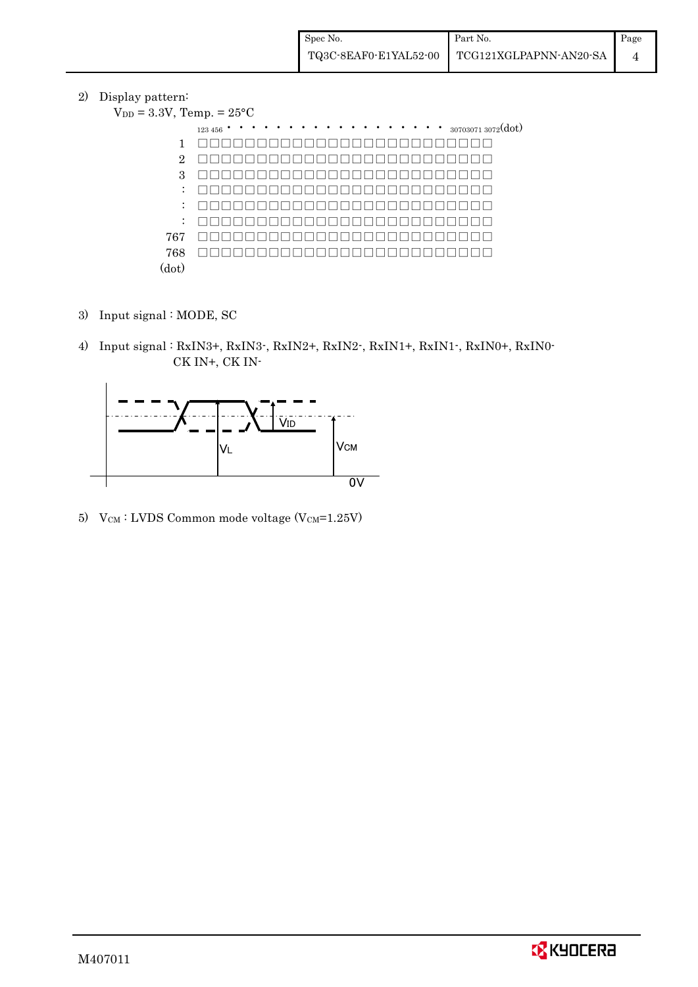2) Display pattern:

| $V_{DD} = 3.3V$ , Temp. = $25^{\circ}C$ |                                                     |
|-----------------------------------------|-----------------------------------------------------|
|                                         | $\cdots$ $\cdots$ $_{307030713072}(dot)$<br>123 456 |
| 1                                       |                                                     |
| $\overline{2}$                          |                                                     |
| 3                                       |                                                     |
| $\ddot{\phantom{a}}$                    |                                                     |
| $\ddot{\phantom{a}}$                    |                                                     |
| $\ddot{\phantom{a}}$                    |                                                     |
| 767                                     |                                                     |
| 768                                     |                                                     |
| (dot)                                   |                                                     |

- 3) Input signal : MODE, SC
- 4) Input signal : RxIN3+, RxIN3-, RxIN2+, RxIN2-, RxIN1+, RxIN1-, RxIN0+, RxIN0- CK IN+, CK IN-



5) V $_{\text{CM}}$ : LVDS Common mode voltage (V $_{\text{CM}}$ =1.25V)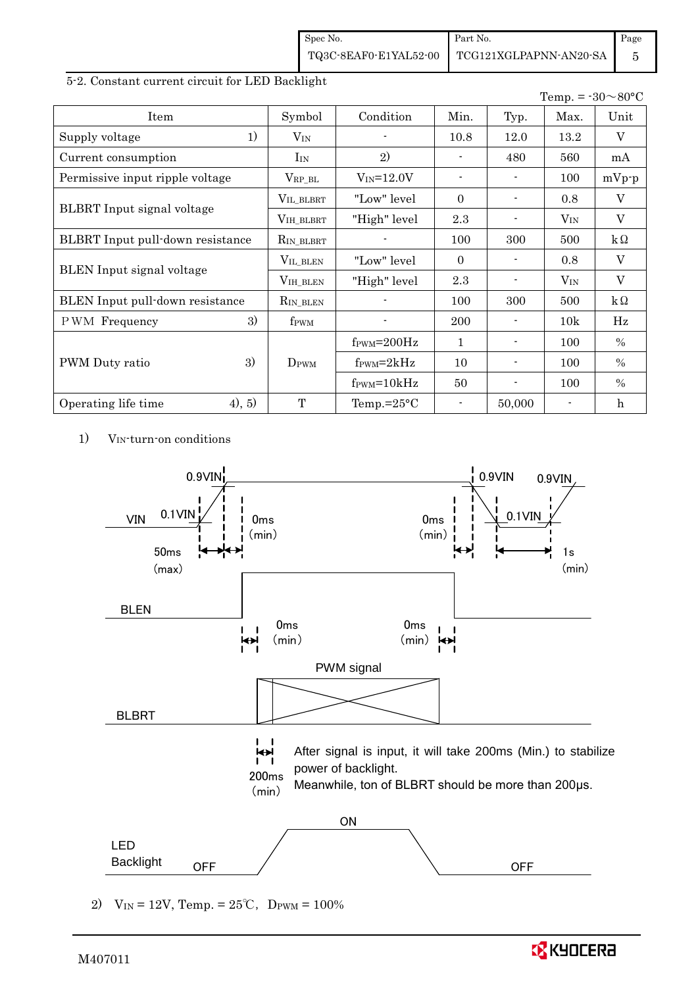| Spec No.              | Part No.               | Page |
|-----------------------|------------------------|------|
| TQ3C-8EAF0-E1YAL52-00 | TCG121XGLPAPNN-AN20-SA |      |

#### 5-2. Constant current circuit for LED Backlight

|                                  |                     |                               |                          |        | Temp. = $-30 \sim 80$ °C |               |
|----------------------------------|---------------------|-------------------------------|--------------------------|--------|--------------------------|---------------|
| Item                             | Symbol              | Condition                     | Min.                     | Typ.   | Max.                     | Unit          |
| 1)<br>Supply voltage             | $V_{IN}$            |                               | 10.8                     | 12.0   | 13.2                     | V             |
| Current consumption              | $I_{IN}$            | 2)                            |                          | 480    | 560                      | mA            |
| Permissive input ripple voltage  | $V_{\rm RP\_BL}$    | $V_{IN} = 12.0V$              | $\overline{\phantom{a}}$ |        | 100                      | $mVp-p$       |
|                                  | $V_{\rm IL\_BLBRT}$ | "Low" level                   | $\Omega$                 |        | 0.8                      | V             |
| BLBRT Input signal voltage       | VIH_BLBRT           | "High" level                  | 2.3                      |        | $V_{IN}$                 | V             |
| BLBRT Input pull-down resistance | $R_{IN\_BLBRT}$     |                               | 100                      | 300    | 500                      | $k\Omega$     |
|                                  | VIL_BLEN            | "Low" level                   | $\Omega$                 |        | 0.8                      | $\rm V$       |
| <b>BLEN</b> Input signal voltage | $VIH_BLEN$          | "High" level                  | 2.3                      |        | $V_{IN}$                 | V             |
| BLEN Input pull-down resistance  | RIN_BLEN            |                               | 100                      | 300    | 500                      | $k\Omega$     |
| 3)<br><b>PWM</b> Frequency       | f <sub>PWM</sub>    |                               | <b>200</b>               |        | 10k                      | Hz            |
|                                  |                     | $f_{\text{PWM}}=200\text{Hz}$ | 1                        |        | 100                      | $\frac{0}{0}$ |
| 3)<br>PWM Duty ratio             | DPWM                | $f_{\text{PWM}}=2kHz$         | 10                       |        | 100                      | $\%$          |
|                                  |                     | $f_{\text{PWM}} = 10kHz$      | 50                       |        | 100                      | $\%$          |
| 4), 5)<br>Operating life time    | T                   | Temp.= $25^{\circ}$ C         | $\blacksquare$           | 50,000 |                          | h             |

1) V<sub>IN</sub>-turn-on conditions



2)  $V_{IN} = 12V$ , Temp. =  $25^{\circ}C$ , D<sub>PWM</sub> =  $100\%$ 

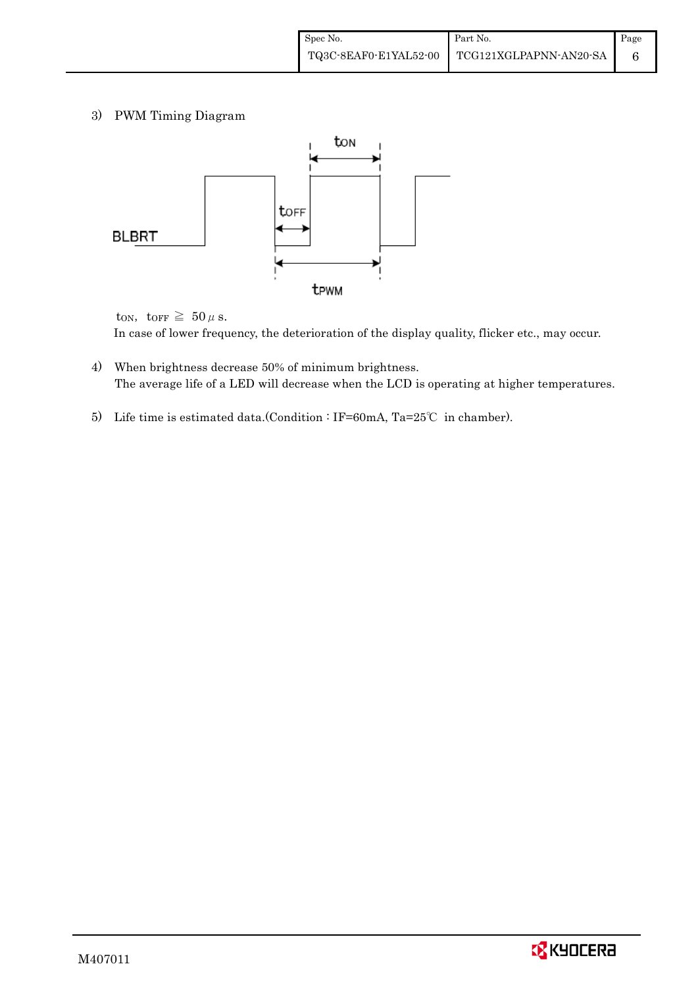3) PWM Timing Diagram



ton, torr  $\geq 50 \mu$  s. In case of lower frequency, the deterioration of the display quality, flicker etc., may occur.

- 4) When brightness decrease 50% of minimum brightness. The average life of a LED will decrease when the LCD is operating at higher temperatures.
- 5) Life time is estimated data.(Condition : IF=60mA, Ta=25℃ in chamber).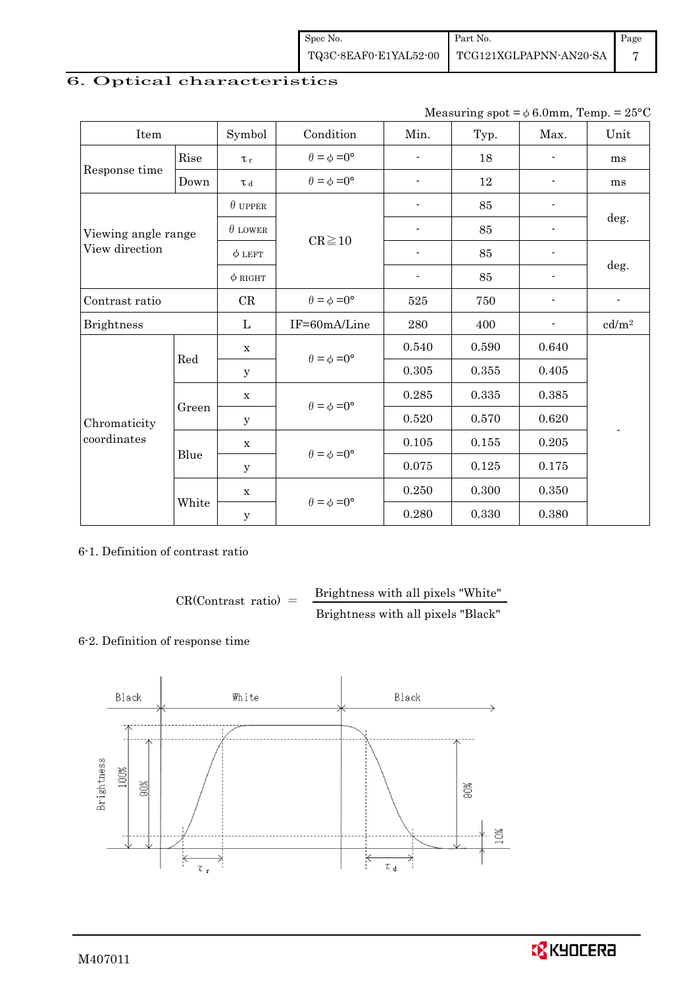| Spec No.              | Part No.               | Page |
|-----------------------|------------------------|------|
| TQ3C-8EAF0-E1YAL52-00 | TCG121XGLPAPNN-AN20-SA |      |

## 6. Optical characteristics

| Measuring spot = $\phi$ 6.0mm, Temp. = 25°C |
|---------------------------------------------|
|---------------------------------------------|

| Item                |       | Symbol         | Condition                   | Min.                     | Typ.  | Max.                     | Unit                     |  |
|---------------------|-------|----------------|-----------------------------|--------------------------|-------|--------------------------|--------------------------|--|
|                     | Rise  | $\tau_r$       | $\theta = \phi = 0^{\circ}$ | $\overline{\phantom{a}}$ | 18    |                          | ms                       |  |
| Response time       | Down  | T d            | $\theta = \phi = 0^{\circ}$ | $\blacksquare$           | 12    |                          | ms                       |  |
|                     |       | $\theta$ upper |                             | $\overline{\phantom{a}}$ | 85    | -                        |                          |  |
| Viewing angle range |       | $\theta$ LOWER |                             | $\blacksquare$           | 85    |                          | deg.                     |  |
| View direction      |       | $\phi$ LEFT    | $CR \ge 10$                 | $\overline{\phantom{a}}$ | 85    | $\blacksquare$           |                          |  |
|                     |       | $\phi$ RIGHT   |                             | $\blacksquare$           | 85    | $\overline{\phantom{0}}$ | deg.                     |  |
| Contrast ratio      |       | $\rm CR$       | $\theta = \phi = 0^{\circ}$ | 525                      | 750   |                          | $\overline{\phantom{a}}$ |  |
| <b>Brightness</b>   |       | L              | IF=60mA/Line                | $\,280$                  | 400   | $\overline{\phantom{a}}$ | cd/m <sup>2</sup>        |  |
|                     |       | $\mathbf X$    | $\theta = \phi = 0^{\circ}$ | 0.540                    | 0.590 | 0.640                    |                          |  |
|                     | Red   | y              |                             | 0.305                    | 0.355 | 0.405                    |                          |  |
|                     |       | $\mathbf X$    |                             | 0.285                    | 0.335 | 0.385                    |                          |  |
| Chromaticity        | Green | y              | $\theta = \phi = 0^{\circ}$ | 0.520                    | 0.570 | 0.620                    |                          |  |
| coordinates         | Blue  | $\mathbf X$    |                             | 0.105                    | 0.155 | 0.205                    |                          |  |
|                     |       | y              | $\theta = \phi = 0^{\circ}$ | 0.075                    | 0.125 | 0.175                    |                          |  |
|                     | White | $\mathbf X$    |                             | 0.250                    | 0.300 | 0.350                    |                          |  |
|                     |       | $\mathbf y$    | $\theta = \phi = 0^{\circ}$ | 0.280                    | 0.330 | 0.380                    |                          |  |

## 6-1. Definition of contrast ratio

 $CR(Contrast ratio) =$  Brightness with all pixels "White" Brightness with all pixels "Black"

## 6-2. Definition of response time



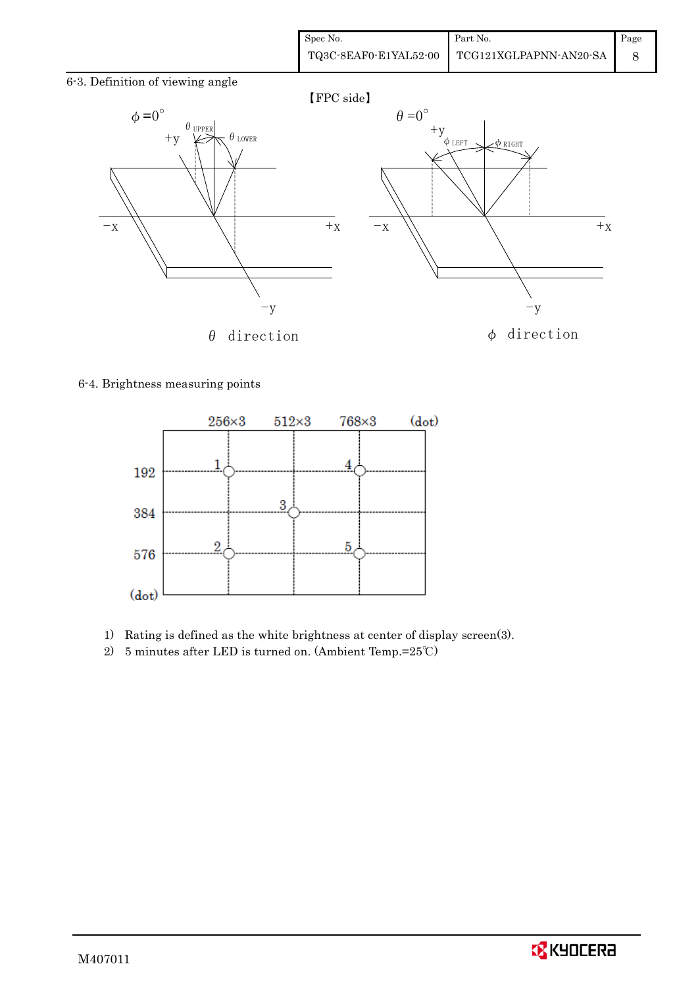| Spec No.              | Part No.               | Page |
|-----------------------|------------------------|------|
| TQ3C-8EAF0-E1YAL52-00 | TCG121XGLPAPNN-AN20-SA |      |

6-3. Definition of viewing angle



#### 6-4. Brightness measuring points



- 1) Rating is defined as the white brightness at center of display screen(3).
- 2) 5 minutes after LED is turned on. (Ambient Temp.=25℃)

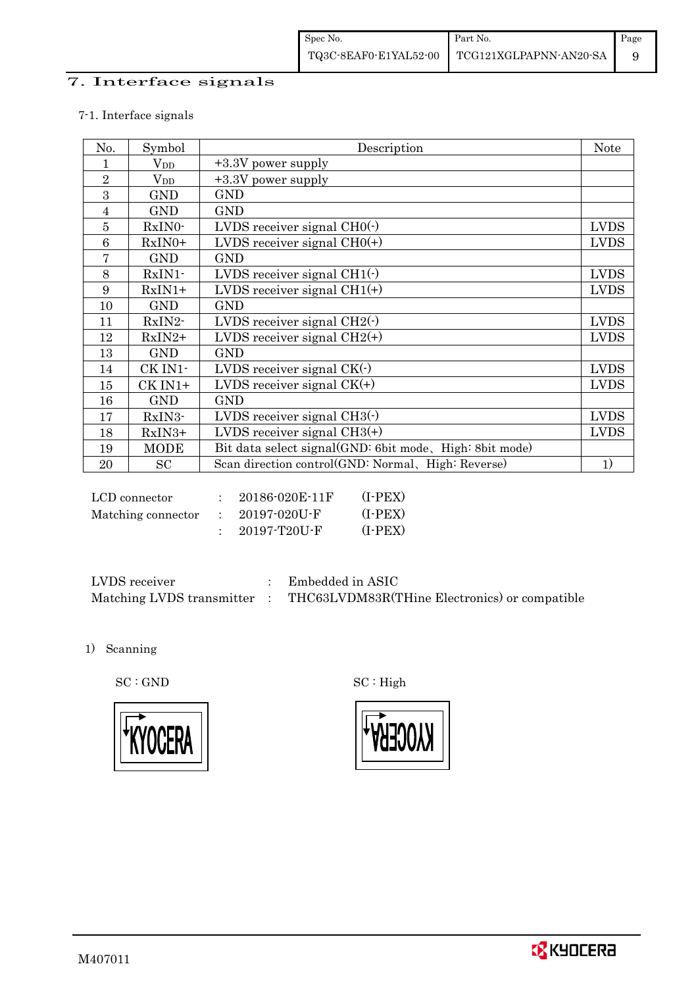## 7. Interface signals

## 7-1. Interface signals

| No.            | Symbol       | Description                                             | <b>Note</b> |
|----------------|--------------|---------------------------------------------------------|-------------|
|                | $\rm V_{DD}$ | +3.3V power supply                                      |             |
| $\overline{2}$ | $\rm V_{DD}$ | +3.3V power supply                                      |             |
| 3              | <b>GND</b>   | <b>GND</b>                                              |             |
| $\overline{4}$ | <b>GND</b>   | <b>GND</b>                                              |             |
| $\overline{5}$ | RxIN0-       | LVDS receiver signal $CHO(·)$                           | <b>LVDS</b> |
| 6              | $RxIN0+$     | LVDS receiver signal $CHO(+)$                           | <b>LVDS</b> |
| 7              | <b>GND</b>   | <b>GND</b>                                              |             |
| 8              | $RxIN1$ -    | LVDS receiver signal $CH1(\cdot)$                       | <b>LVDS</b> |
| 9              | $RxIN1+$     | LVDS receiver signal $CH1(+)$                           | <b>LVDS</b> |
| 10             | <b>GND</b>   | <b>GND</b>                                              |             |
| 11             | RxIN2-       | LVDS receiver signal $CH2(\cdot)$                       | <b>LVDS</b> |
| 12             | $RxIN2+$     | LVDS receiver signal $CH2(+)$                           | <b>LVDS</b> |
| 13             | <b>GND</b>   | <b>GND</b>                                              |             |
| 14             | CK IN1-      | LVDS receiver signal $CK(\cdot)$                        | <b>LVDS</b> |
| 15             | CK IN1+      | LVDS receiver signal $CK(+)$                            | <b>LVDS</b> |
| 16             | <b>GND</b>   | <b>GND</b>                                              |             |
| 17             | RxIN3-       | LVDS receiver signal $CH3(\cdot)$                       | <b>LVDS</b> |
| 18             | RxIN3+       | LVDS receiver signal $CH3(+)$                           | <b>LVDS</b> |
| 19             | <b>MODE</b>  | Bit data select signal(GND: 6bit mode, High: 8bit mode) |             |
| 20             | SC           | Scan direction control(GND: Normal, High: Reverse)      | 1)          |

| LCD connector      | 20186-020E-11F | (I-PEX)   |
|--------------------|----------------|-----------|
| Matching connector | - 20197-020U-F | $(I-PEX)$ |
|                    | - 20197-T20U-F | (I-PEX)   |

| LVDS receiver             | Embedded in ASIC                              |
|---------------------------|-----------------------------------------------|
| Matching LVDS transmitter | THC63LVDM83R(THine Electronics) or compatible |

1) Scanning



 $\mathrm{SC}:\mathrm{GND}\qquad \qquad \mathrm{SC}:\mathrm{High}$ 

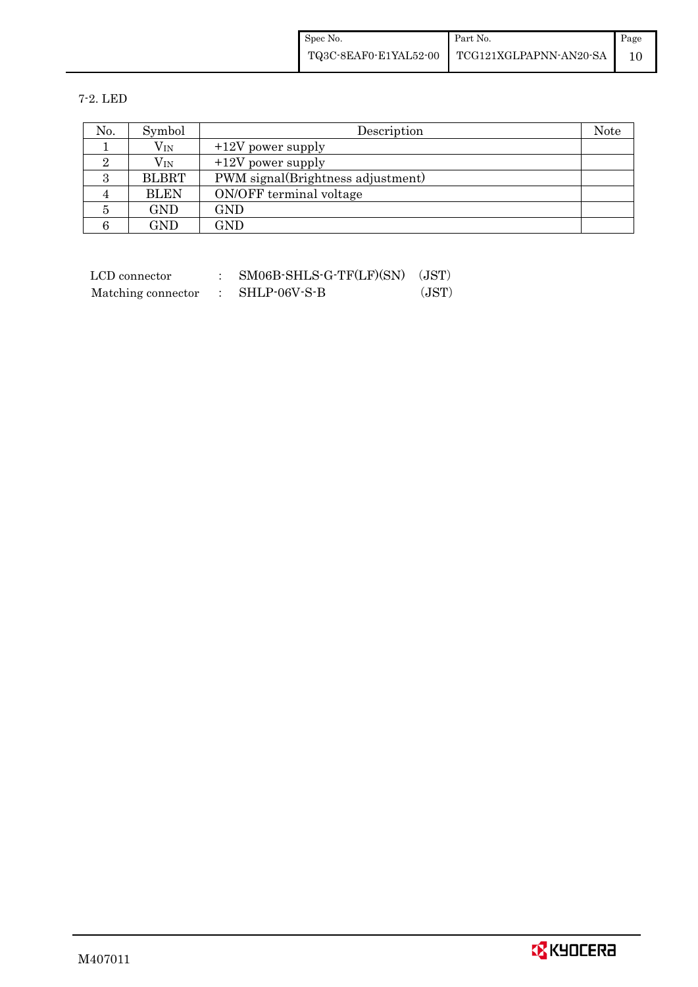| Spec No.              | Part No.               | Page |
|-----------------------|------------------------|------|
| TQ3C-8EAF0-E1YAL52-00 | TCG121XGLPAPNN-AN20-SA |      |

7-2. LED

| No. | Symbol       | Description                       | Note |
|-----|--------------|-----------------------------------|------|
|     | $\rm V_{IN}$ | $+12V$ power supply               |      |
|     | $\rm V_{IN}$ | $+12V$ power supply               |      |
| З   | <b>BLBRT</b> | PWM signal(Brightness adjustment) |      |
| 4   | <b>BLEN</b>  | ON/OFF terminal voltage           |      |
| 5   | <b>GND</b>   | GND                               |      |
| 6   | <b>GND</b>   | GND                               |      |

| LCD connector      | $SM06B-SHLS-G-TF(LF)(SN)$ (JST) |       |
|--------------------|---------------------------------|-------|
| Matching connector | $\therefore$ SHLP-06V-S-B       | (JST) |

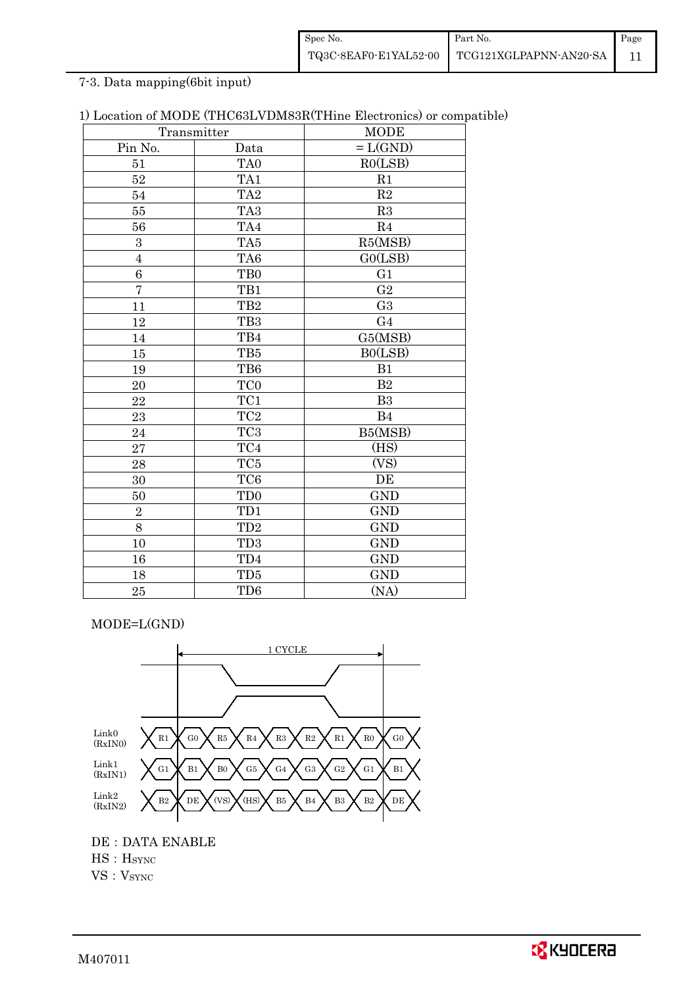| Spec No. | Part No.                                     | Page |
|----------|----------------------------------------------|------|
|          | TQ3C-8EAF0-E1YAL52-00 TCG121XGLPAPNN-AN20-SA |      |

## 7-3. Data mapping(6bit input)

| 1) Location of MODE (THC63LVDM83R(THine Electronics) or compatible) |  |  |  |  |  |  |  |  |  |  |  |  |
|---------------------------------------------------------------------|--|--|--|--|--|--|--|--|--|--|--|--|
|---------------------------------------------------------------------|--|--|--|--|--|--|--|--|--|--|--|--|

|                | Transmitter     | <b>MODE</b>    |
|----------------|-----------------|----------------|
| Pin No.        | Data            | $=L(GND)$      |
| 51             | TA <sub>0</sub> | RO(LSB)        |
| 52             | TA1             | R1             |
| 54             | TA <sub>2</sub> | $\mathbf{R}2$  |
| $55\,$         | TA <sub>3</sub> | R3             |
| 56             | TA4             | R <sub>4</sub> |
| $\overline{3}$ | TA5             | R5(MSB)        |
| $\overline{4}$ | TA6             | GO(LSB)        |
| 6              | TB <sub>0</sub> | G1             |
| $\overline{7}$ | TB1             | G <sub>2</sub> |
| 11             | TB <sub>2</sub> | G <sub>3</sub> |
| 12             | TB <sub>3</sub> | G <sub>4</sub> |
| 14             | TB4             | G5(MSB)        |
| 15             | TB5             | BO(LSB)        |
| 19             | TB6             | B1             |
| 20             | TC <sub>0</sub> | B <sub>2</sub> |
| 22             | TC1             | B <sub>3</sub> |
| 23             | TC <sub>2</sub> | <b>B4</b>      |
| 24             | TC <sub>3</sub> | B5(MSB)        |
| 27             | TC4             | (HS)           |
| 28             | TC5             | (VS)           |
| 30             | TC <sub>6</sub> | DE             |
| 50             | TD <sub>0</sub> | <b>GND</b>     |
| $\sqrt{2}$     | TD1             | <b>GND</b>     |
| $8\,$          | TD <sub>2</sub> | <b>GND</b>     |
| 10             | TD <sub>3</sub> | <b>GND</b>     |
| 16             | TD4             | <b>GND</b>     |
| 18             | TD5             | <b>GND</b>     |
| 25             | TD <sub>6</sub> | (NA)           |

MODE=L(GND)



HS: H<sub>SYNC</sub>

VS: V<sub>SYNC</sub>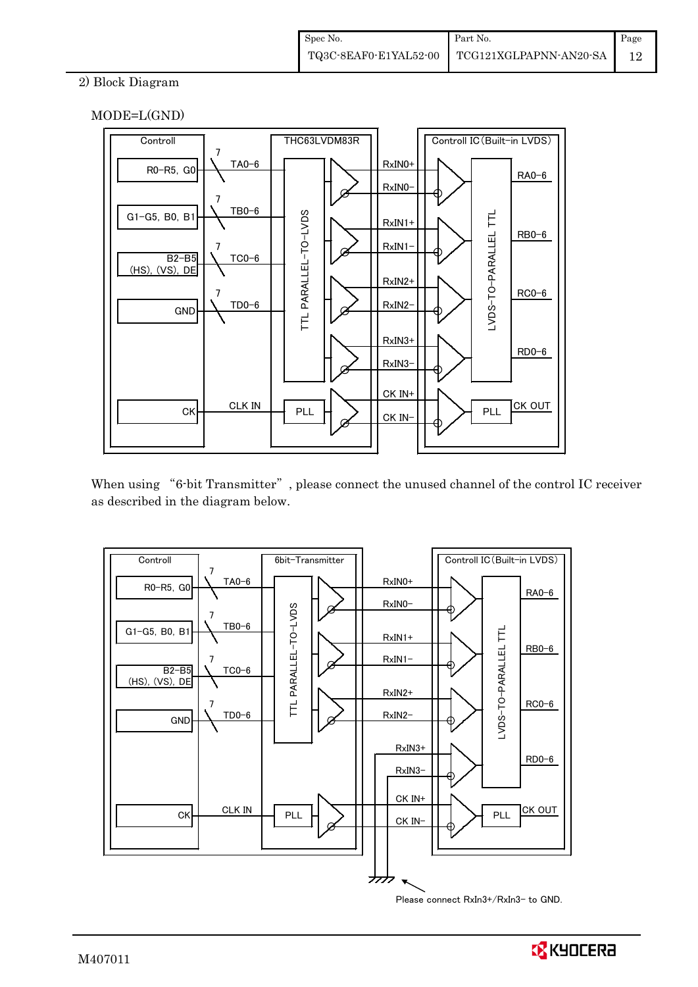## 2) Block Diagram





When using "6-bit Transmitter", please connect the unused channel of the control IC receiver as described in the diagram below.



Please connect RxIn3+/RxIn3- to GND.

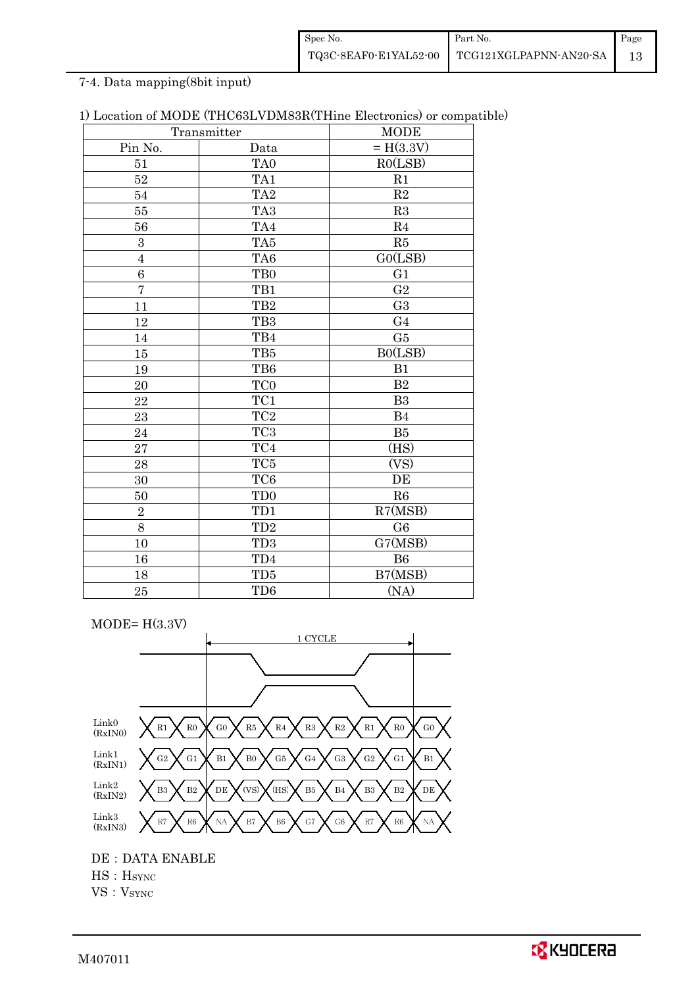| Spec No. | Part No.                                     | Page |
|----------|----------------------------------------------|------|
|          | TQ3C-8EAF0-E1YAL52-00 TCG121XGLPAPNN-AN20-SA |      |

## 7-4. Data mapping(8bit input)

|                  | Transmitter          | Docation of MODD (111000D) DMOON(111110 Dicentified) of compa<br><b>MODE</b> |
|------------------|----------------------|------------------------------------------------------------------------------|
| Pin No.          | Data                 | $= H(3.3V)$                                                                  |
| 51               | TA <sub>0</sub>      | RO(LSB)                                                                      |
| 52               | TA1                  | R1                                                                           |
| 54               | TA <sub>2</sub>      | $\mathbf{R}2$                                                                |
| 55               | TA <sub>3</sub>      | R3                                                                           |
| 56               | TA4                  | R <sub>4</sub>                                                               |
| $\boldsymbol{3}$ | TA5                  | R5                                                                           |
| $\boldsymbol{4}$ | TA6                  | GO(LSB)                                                                      |
| 6                | TB <sub>0</sub>      | G <sub>1</sub>                                                               |
| $\overline{7}$   | TB1                  | G <sub>2</sub>                                                               |
| 11               | TB <sub>2</sub>      | G <sub>3</sub>                                                               |
| 12               | TB <sub>3</sub>      | G <sub>4</sub>                                                               |
| 14               | TB4                  | G5                                                                           |
| 15               | TB5                  | B0(LSB)                                                                      |
| 19               | TB6                  | B1                                                                           |
| 20               | TC <sub>0</sub>      | B <sub>2</sub>                                                               |
| 22               | TC1                  | B <sub>3</sub>                                                               |
| 23               | $\rm TC2$            | B4                                                                           |
| 24               | $\rm TC3$            | B5                                                                           |
| 27               | $\operatorname{TC4}$ | (HS)                                                                         |
| 28               | TC5                  | (VS)                                                                         |
| 30               | TC <sub>6</sub>      | DE                                                                           |
| 50               | TD <sub>0</sub>      | R6                                                                           |
| $\overline{2}$   | TD1                  | R7(MSB)                                                                      |
| 8                | TD <sub>2</sub>      | G <sub>6</sub>                                                               |
| 10               | TD <sub>3</sub>      | $\overline{G7}$ (MSB)                                                        |
| 16               | TD4                  | B6                                                                           |
| 18               | TD5                  | B7(MSB)                                                                      |
| 25               | TD <sub>6</sub>      | (NA)                                                                         |

1) Location of MODE (THC63LVDM83R(THine Electronics) or compatible)

 $MODE= H(3.3V)$ 1 CYCLE Link0 (RxIN0) Link1 (RxIN1) Link2 (RxIN2) Link3 (RxIN3) R0 X G0 X R5 X R4 X R3 X R2 X R1 X R0 X G0 G5  $\times$  G4  $\times$  G3 NA G2  $B_2$  DE  $\bigtimes$  (VS) G1  $X$  B1  $X$  B0  $X$  G5  $X$  G4  $X$  G3  $X$  G2  $X$  G1  $X$  B1  $\chi$  (HS)  $\times$  B5  $\times$  B4  $\times$  B3  $\times$  B2  $\times$  DE R6 R1 G2 B3 R7  $\times$  R6  $\times$  NA  $\times$  B7  $\times$  B6  $RS \times R4$ R6  $X$  NA  $X$  B7  $X$  B6  $X$  G7  $X$  G6  $X$  R7

DE:DATA ENABLE

HS:HSYNC

VS: V<sub>SYNC</sub>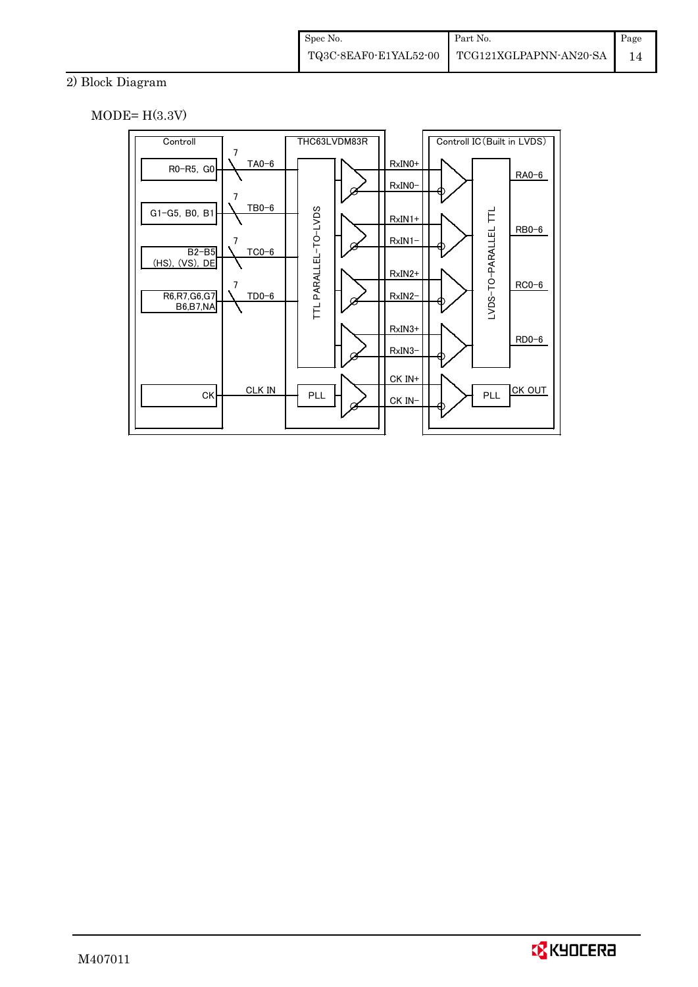## 2) Block Diagram

 $MODE= H(3.3V)$ 



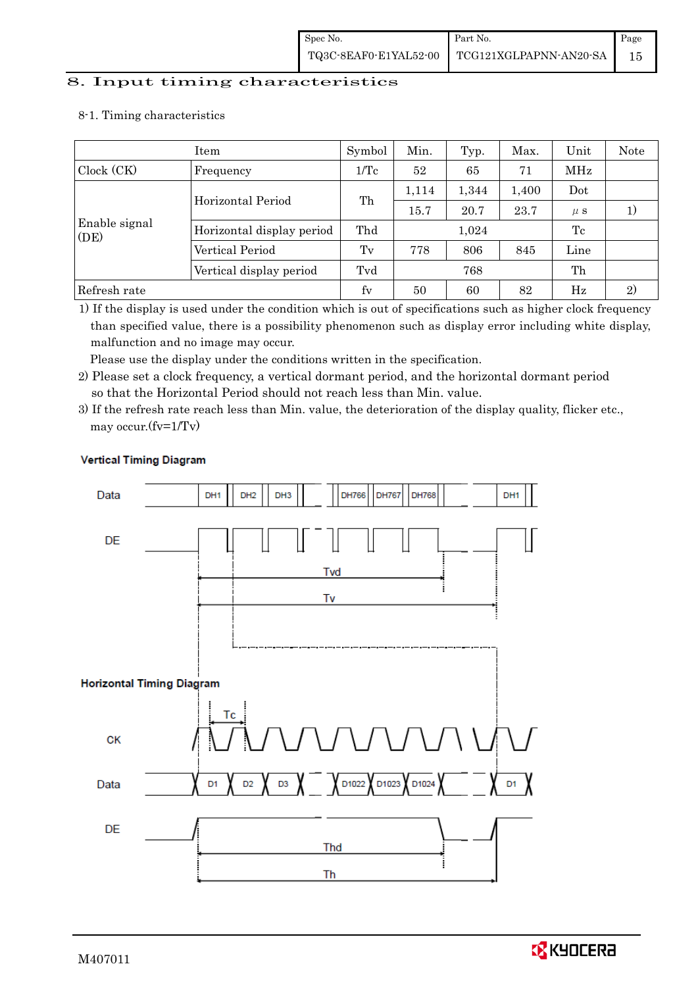#### 8. Input timing characteristics

## Item Symbol Min. Typ. Max. Unit Note Clock (CK) Frequency  $1/Tc$  52 65 71 MHz Enable signal (DE) Horizontal Period Th  $\begin{array}{|c|c|c|c|c|c|c|c|}\n\hline\n1,114 & 1,344 & 1,400 & \text{Dot} \\
\hline\n15.7 & 20.7 & 23.7 & \mu s\n\end{array}$ 15.7 | 20.7 | 23.7 |  $\mu$  s | 1) Horizontal display period Thd  $1,024$  Tc Vertical Period Tv 778 806 845 Line Vertical display period Tvd 768 Th Refresh rate fv 50 60 82 Hz 2)

#### 8-1. Timing characteristics

1) If the display is used under the condition which is out of specifications such as higher clock frequency than specified value, there is a possibility phenomenon such as display error including white display, malfunction and no image may occur.

Please use the display under the conditions written in the specification.

- 2) Please set a clock frequency, a vertical dormant period, and the horizontal dormant period so that the Horizontal Period should not reach less than Min. value.
- 3) If the refresh rate reach less than Min. value, the deterioration of the display quality, flicker etc., may occur.(fv=1/Tv)



## **Vertical Timing Diagram**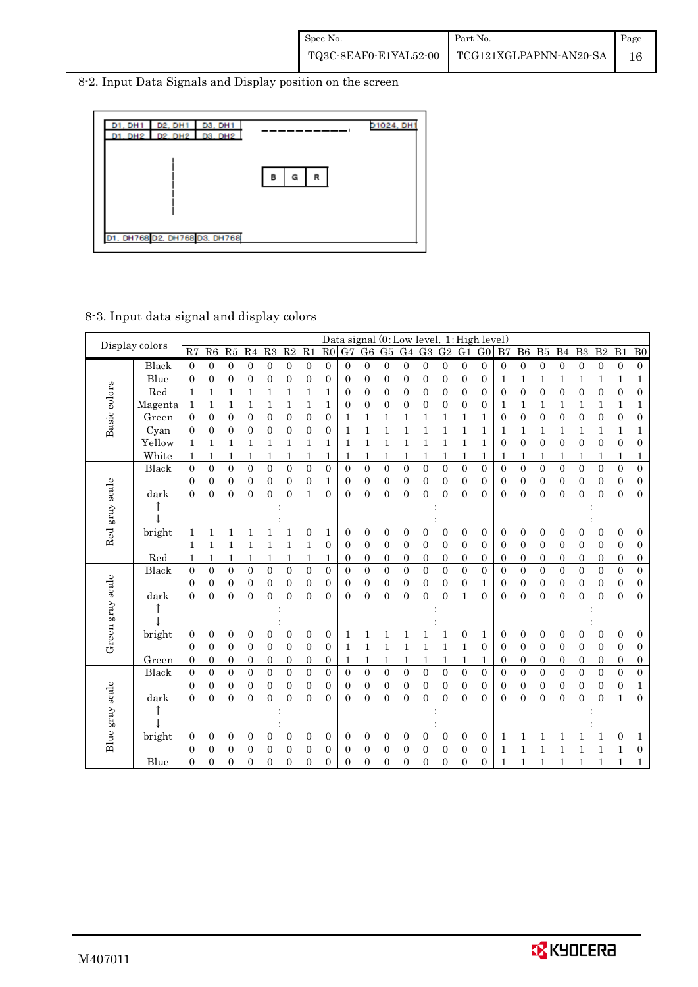8-2. Input Data Signals and Display position on the screen



## 8-3. Input data signal and display colors

|                  | Display colors |                  |                  |                  |                  |                  |                  |                  |                  |                |                  |                  |                  |                  |                  |                  | Data signal $(0:Low level, 1:High level)$ |                  |                  |                  |                  |                  |                  |                  |                  |
|------------------|----------------|------------------|------------------|------------------|------------------|------------------|------------------|------------------|------------------|----------------|------------------|------------------|------------------|------------------|------------------|------------------|-------------------------------------------|------------------|------------------|------------------|------------------|------------------|------------------|------------------|------------------|
|                  |                | R7               | R6               | R5               | R <sub>4</sub>   | R3               | R2               | R1               | R <sub>0</sub>   | G7             | G6               | G5               | G <sub>4</sub>   | G <sub>3</sub>   | G <sub>2</sub>   | G1               | G <sub>0</sub>                            | B7               | B <sub>6</sub>   | B5               | B <sub>4</sub>   | B <sub>3</sub>   | B <sub>2</sub>   | B1               | B <sub>0</sub>   |
|                  | Black          | $\overline{0}$   | $\boldsymbol{0}$ | $\boldsymbol{0}$ | $\boldsymbol{0}$ | $\boldsymbol{0}$ | $\boldsymbol{0}$ | $\overline{0}$   | $\boldsymbol{0}$ | $\overline{0}$ | $\boldsymbol{0}$ | $\overline{0}$   | $\boldsymbol{0}$ | $\boldsymbol{0}$ | $\boldsymbol{0}$ | $\boldsymbol{0}$ | 0                                         | $\boldsymbol{0}$ | $\boldsymbol{0}$ | $\boldsymbol{0}$ | $\boldsymbol{0}$ | $\boldsymbol{0}$ | $\boldsymbol{0}$ | $\mathbf{0}$     | $\boldsymbol{0}$ |
|                  | Blue           | 0                | $\boldsymbol{0}$ | $\boldsymbol{0}$ | 0                | $\boldsymbol{0}$ | 0                | 0                | $\boldsymbol{0}$ | 0              | 0                | 0                | 0                | 0                | 0                | 0                | 0                                         | 1                | 1                | 1                | 1                | 1                | 1                | 1                | 1                |
|                  | Red            | 1                | 1                | 1                | 1                | 1                | 1                | 1                | 1                | 0              | 0                | 0                | 0                | 0                | 0                | 0                | 0                                         | $\overline{0}$   | 0                | 0                | $\mathbf{0}$     | $\mathbf{0}$     | 0                | $\boldsymbol{0}$ | $\boldsymbol{0}$ |
|                  | Magenta        | 1                | 1                | 1                | 1                | 1                | 1                | 1                | 1                | 0              | 0                | 0                | 0                | 0                | 0                | $\boldsymbol{0}$ | 0                                         | $\mathbf{1}$     | 1                | 1                | 1                | 1                | 1                | 1                | 1                |
| Basic colors     | Green          | 0                | $\boldsymbol{0}$ | $\mathbf{0}$     | 0                | $\mathbf{0}$     | $\overline{0}$   | 0                | $\boldsymbol{0}$ | 1              | 1                | 1                | 1                | 1                | 1                | 1                | 1                                         | $\boldsymbol{0}$ | $\mathbf{0}$     | 0                | $\mathbf{0}$     | 0                | 0                | $\overline{0}$   | $\boldsymbol{0}$ |
|                  | Cyan           | 0                | $\overline{0}$   | $\overline{0}$   | 0                | $\overline{0}$   | 0                | 0                | 0                | 1              | 1                | 1                | 1                | 1                | 1                | 1                | 1                                         | 1                | 1                | 1                | 1                | 1                | 1                | 1                | 1                |
|                  | Yellow         | 1                | $\mathbf{1}$     | 1                | 1                | 1                | 1                | 1                | 1                | 1              | 1                | 1                | 1                | $\mathbf{1}$     | $\mathbf{1}$     | 1                | 1                                         | $\overline{0}$   | $\mathbf{0}$     | $\boldsymbol{0}$ | $\mathbf{0}$     | 0                | 0                | $\boldsymbol{0}$ | $\boldsymbol{0}$ |
|                  | White          | 1                | 1                | 1                |                  | 1                | 1                | 1                | 1                |                | 1                | 1                | 1                | 1                | 1                | 1                | 1                                         | 1                | 1                | 1                | 1                |                  | 1                | 1                | 1                |
|                  | Black          | $\overline{0}$   | $\boldsymbol{0}$ | $\overline{0}$   | $\overline{0}$   | $\overline{0}$   | $\overline{0}$   | $\boldsymbol{0}$ | $\overline{0}$   | 0              | $\overline{0}$   | $\boldsymbol{0}$ | $\overline{0}$   | $\overline{0}$   | $\boldsymbol{0}$ | $\overline{0}$   | $\overline{0}$                            | $\overline{0}$   | $\overline{0}$   | $\boldsymbol{0}$ | $\overline{0}$   | 0                | $\overline{0}$   | $\boldsymbol{0}$ | $\boldsymbol{0}$ |
|                  |                | 0                | 0                | $\boldsymbol{0}$ | 0                | 0                | 0                | 0                | 1                | 0              | 0                | 0                | 0                | 0                | $\boldsymbol{0}$ | $\boldsymbol{0}$ | 0                                         | $\boldsymbol{0}$ | 0                | 0                | $\mathbf{0}$     | 0                | 0                | $\boldsymbol{0}$ | $\boldsymbol{0}$ |
|                  | dark           | $\theta$         | $\overline{0}$   | $\overline{0}$   | $\overline{0}$   | $\overline{0}$   | $\theta$         | 1                | $\overline{0}$   | 0              | $\overline{0}$   | $\boldsymbol{0}$ | $\overline{0}$   | 0                | $\overline{0}$   | $\overline{0}$   | 0                                         | $\overline{0}$   | $\overline{0}$   | $\boldsymbol{0}$ | $\overline{0}$   | $\theta$         | 0                | $\overline{0}$   | $\boldsymbol{0}$ |
| Red gray scale   |                |                  |                  |                  |                  |                  |                  |                  |                  |                |                  |                  |                  |                  |                  |                  |                                           |                  |                  |                  |                  |                  |                  |                  |                  |
|                  |                |                  |                  |                  |                  |                  |                  |                  |                  |                |                  |                  |                  |                  |                  |                  |                                           |                  |                  |                  |                  |                  |                  |                  |                  |
|                  | bright         | 1                |                  | 1                |                  |                  |                  | 0                | 1                | 0              | 0                | 0                | 0                | 0                | $\overline{0}$   | 0                | 0                                         | $\overline{0}$   | 0                | 0                | $\boldsymbol{0}$ | 0                | 0                | $\overline{0}$   | $\boldsymbol{0}$ |
|                  |                | 1                | 1                | 1                | 1                | 1                | 1                | 1                | $\boldsymbol{0}$ | 0              | 0                | $\boldsymbol{0}$ | 0                | 0                | 0                | $\mathbf{0}$     | 0                                         | 0                | $\boldsymbol{0}$ | 0                | 0                | 0                | $\mathbf{0}$     | $\boldsymbol{0}$ | $\boldsymbol{0}$ |
|                  | Red            | 1                | 1                | 1                | 1                | 1                | 1                | 1                | 1                | $\overline{0}$ | $\boldsymbol{0}$ | $\boldsymbol{0}$ | 0                | $\boldsymbol{0}$ | $\boldsymbol{0}$ | $\boldsymbol{0}$ | $\mathbf{0}$                              | 0                | $\boldsymbol{0}$ | 0                | $\boldsymbol{0}$ | $\boldsymbol{0}$ | $\boldsymbol{0}$ | $\boldsymbol{0}$ | $\boldsymbol{0}$ |
|                  | Black          | $\overline{0}$   | $\overline{0}$   | $\overline{0}$   | $\overline{0}$   | $\boldsymbol{0}$ | $\overline{0}$   | $\overline{0}$   | $\overline{0}$   | $\overline{0}$ | $\overline{0}$   | $\overline{0}$   | $\boldsymbol{0}$ | $\overline{0}$   | $\overline{0}$   | $\overline{0}$   | $\overline{0}$                            | $\overline{0}$   | $\overline{0}$   | $\overline{0}$   | $\overline{0}$   | $\overline{0}$   | $\overline{0}$   | $\overline{0}$   | $\boldsymbol{0}$ |
|                  |                | 0                | $\boldsymbol{0}$ | $\boldsymbol{0}$ | 0                | 0                | 0                | 0                | $\boldsymbol{0}$ | 0              | 0                | $\boldsymbol{0}$ | 0                | $\boldsymbol{0}$ | $\boldsymbol{0}$ | 0                | 1                                         | 0                | 0                | $\boldsymbol{0}$ | $\mathbf{0}$     | $\mathbf{0}$     | 0                | $\boldsymbol{0}$ | $\boldsymbol{0}$ |
|                  | dark           | $\theta$         | $\theta$         | $\theta$         | $\theta$         | $\theta$         | $\theta$         | $\theta$         | $\theta$         | $\Omega$       | $\theta$         | $\overline{0}$   | $\theta$         | $\overline{0}$   | $\overline{0}$   | 1                | $\theta$                                  | $\theta$         | $\overline{0}$   | $\overline{0}$   | $\overline{0}$   | $\theta$         | $\theta$         | $\theta$         | $\boldsymbol{0}$ |
|                  |                |                  |                  |                  |                  |                  |                  |                  |                  |                |                  |                  |                  |                  |                  |                  |                                           |                  |                  |                  |                  |                  |                  |                  |                  |
| Green gray scale |                |                  |                  |                  |                  |                  |                  |                  |                  |                |                  |                  |                  |                  |                  |                  |                                           |                  |                  |                  |                  |                  |                  |                  |                  |
|                  | bright         | 0                | 0                | $\boldsymbol{0}$ | 0                | 0                | 0                | 0                | 0                | 1              | 1                |                  |                  |                  | 1                | $\mathbf{0}$     | 1                                         | 0                | 0                | 0                | 0                | 0                | 0                | $\boldsymbol{0}$ | $\mathbf{0}$     |
|                  |                | $\overline{0}$   | $\overline{0}$   | $\overline{0}$   | 0                | 0                | 0                | 0                | $\overline{0}$   | 1              | 1                | 1                | 1                | 1                | 1                | 1                | $\overline{0}$                            | $\overline{0}$   | $\mathbf{0}$     | 0                | $\overline{0}$   | 0                | $\mathbf{0}$     | $\boldsymbol{0}$ | $\boldsymbol{0}$ |
|                  | Green          | $\boldsymbol{0}$ | $\boldsymbol{0}$ | $\boldsymbol{0}$ | 0                | $\boldsymbol{0}$ | $\boldsymbol{0}$ | 0                | $\boldsymbol{0}$ |                | 1                |                  | 1                | $\mathbf{1}$     | 1                | 1                | 1                                         | $\mathbf{0}$     | 0                | 0                | $\boldsymbol{0}$ | $\mathbf{0}$     | 0                | $\mathbf{0}$     | $\boldsymbol{0}$ |
|                  | Black          | $\theta$         | $\overline{0}$   | $\overline{0}$   | $\overline{0}$   | $\overline{0}$   | $\overline{0}$   | $\overline{0}$   | $\overline{0}$   | $\theta$       | $\overline{0}$   | $\overline{0}$   | $\overline{0}$   | $\overline{0}$   | $\overline{0}$   | $\overline{0}$   | $\overline{0}$                            | $\overline{0}$   | $\overline{0}$   | $\overline{0}$   | $\overline{0}$   | $\theta$         | $\overline{0}$   | $\theta$         | $\overline{0}$   |
|                  |                | 0                | 0                | 0                | 0                | 0                | $\mathbf{0}$     | 0                | $\boldsymbol{0}$ | 0              | $\boldsymbol{0}$ | $\boldsymbol{0}$ | 0                | 0                | 0                | 0                | 0                                         | 0                | $\boldsymbol{0}$ | 0                | 0                | 0                | 0                | $\boldsymbol{0}$ | 1                |
|                  | dark           | $\overline{0}$   | $\overline{0}$   | $\overline{0}$   | $\overline{0}$   | $\overline{0}$   | $\overline{0}$   | $\overline{0}$   | $\overline{0}$   | 0              | $\overline{0}$   | $\overline{0}$   | $\overline{0}$   | $\overline{0}$   | $\mathbf{0}$     | $\overline{0}$   | $\overline{0}$                            | $\overline{0}$   | $\overline{0}$   | $\overline{0}$   | $\overline{0}$   | $\overline{0}$   | $\overline{0}$   | $\mathbf{1}$     | $\boldsymbol{0}$ |
|                  |                |                  |                  |                  |                  |                  |                  |                  |                  |                |                  |                  |                  |                  |                  |                  |                                           |                  |                  |                  |                  |                  |                  |                  |                  |
|                  |                |                  |                  |                  |                  |                  |                  |                  |                  |                |                  |                  |                  |                  |                  |                  |                                           |                  |                  |                  |                  |                  |                  |                  |                  |
| Blue gray scale  | bright         | 0                | 0                | 0                | 0                | 0                | 0                | 0                | 0                | 0              | 0                | 0                | 0                | 0                | 0                | 0                | 0                                         | 1                | 1                |                  |                  |                  |                  | $\boldsymbol{0}$ | 1                |
|                  |                | 0                | $\overline{0}$   | $\overline{0}$   | 0                | $\overline{0}$   | 0                | 0                | $\overline{0}$   | 0              | 0                | $\overline{0}$   | 0                | 0                | $\overline{0}$   | $\overline{0}$   | 0                                         | 1                | 1                | 1                | 1                |                  |                  | 1                | $\boldsymbol{0}$ |
|                  | Blue           | $\overline{0}$   | $\overline{0}$   | $\overline{0}$   | 0                | $\overline{0}$   | 0                | $\overline{0}$   | $\overline{0}$   | 0              | 0                | $\overline{0}$   | 0                | 0                | 0                | $\overline{0}$   | 0                                         | 1                |                  |                  | 1                | 1                |                  | 1                | 1                |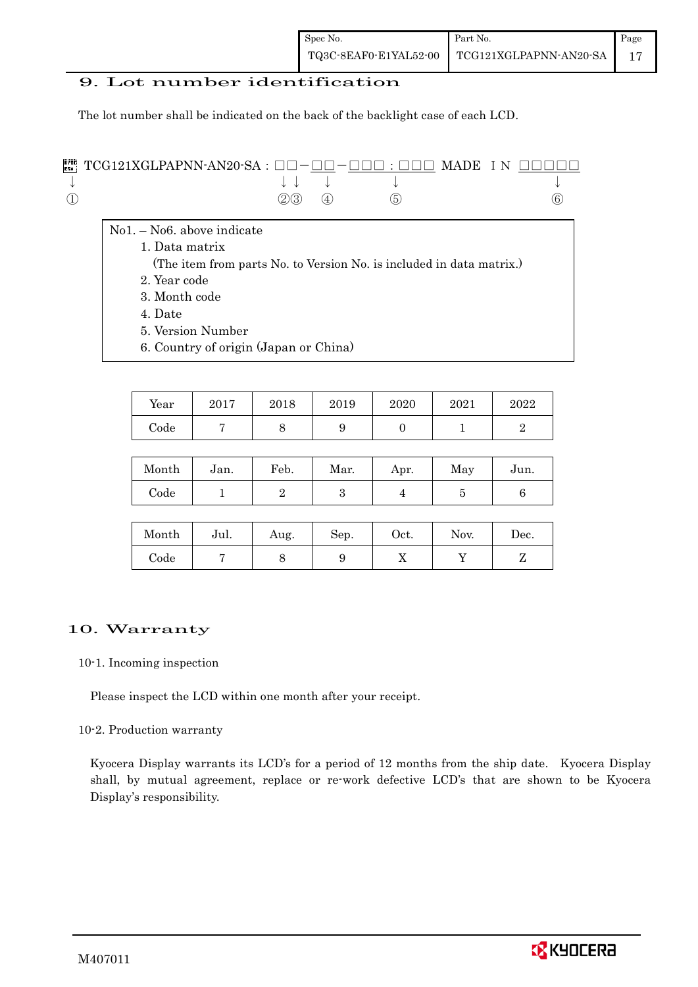## 9. Lot number identification

The lot number shall be indicated on the back of the backlight case of each LCD.

| <b>FORE TO SA : OO-OO-OO : OOO MADE IN OOOOO</b> |                |                                        |  |     |
|--------------------------------------------------|----------------|----------------------------------------|--|-----|
|                                                  |                | $\downarrow$ $\downarrow$ $\downarrow$ |  |     |
|                                                  | $(2)(3)$ $(4)$ | (5)                                    |  | (6) |

- No1. No6. above indicate
	- 1. Data matrix
	- (The item from parts No. to Version No. is included in data matrix.)
	- 2. Year code
	- 3. Month code
	- 4. Date
	- 5. Version Number
	- 6. Country of origin (Japan or China)

| Year | 2017 | 2018 | 2019 | 2020 | 2021 | 2022 |
|------|------|------|------|------|------|------|
| Code |      |      |      |      |      |      |

| Month | Jan. | Feb. | Mar. | Apr. | May | Jun. |
|-------|------|------|------|------|-----|------|
| Code  |      |      |      | ┻    |     |      |

| Month | Jul. | Aug. | Sep. | $\rm Oct.$ | Nov. | $\operatorname{Dec.}$ |
|-------|------|------|------|------------|------|-----------------------|
| Code  |      |      |      | 77         |      | ∼                     |

## 10. Warranty

#### 10-1. Incoming inspection

Please inspect the LCD within one month after your receipt.

## 10-2. Production warranty

 Kyocera Display warrants its LCD's for a period of 12 months from the ship date. Kyocera Display shall, by mutual agreement, replace or re-work defective LCD's that are shown to be Kyocera Display's responsibility.

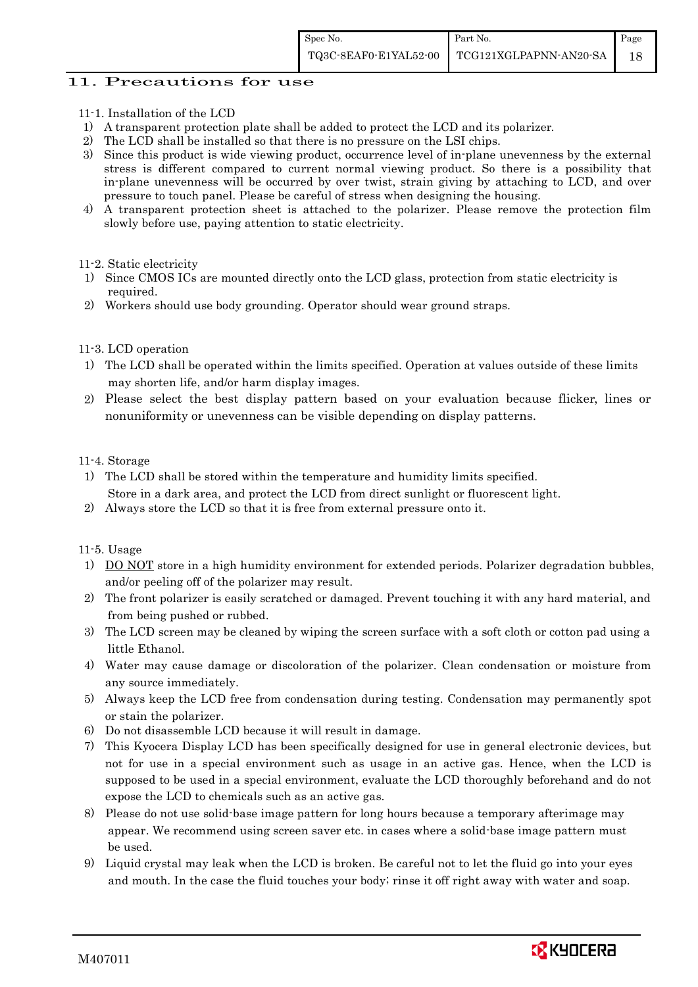## 11. Precautions for use

- 11-1. Installation of the LCD
- 1) A transparent protection plate shall be added to protect the LCD and its polarizer.
- 2) The LCD shall be installed so that there is no pressure on the LSI chips.
- 3) Since this product is wide viewing product, occurrence level of in-plane unevenness by the external stress is different compared to current normal viewing product. So there is a possibility that in-plane unevenness will be occurred by over twist, strain giving by attaching to LCD, and over pressure to touch panel. Please be careful of stress when designing the housing.
- 4) A transparent protection sheet is attached to the polarizer. Please remove the protection film slowly before use, paying attention to static electricity.
- 11-2. Static electricity
- 1) Since CMOS ICs are mounted directly onto the LCD glass, protection from static electricity is required.
- 2) Workers should use body grounding. Operator should wear ground straps.

#### 11-3. LCD operation

- 1) The LCD shall be operated within the limits specified. Operation at values outside of these limits may shorten life, and/or harm display images.
- 2) Please select the best display pattern based on your evaluation because flicker, lines or nonuniformity or unevenness can be visible depending on display patterns.

#### 11-4. Storage

- 1) The LCD shall be stored within the temperature and humidity limits specified. Store in a dark area, and protect the LCD from direct sunlight or fluorescent light.
- 2) Always store the LCD so that it is free from external pressure onto it.

#### 11-5. Usage

- 1) DO NOT store in a high humidity environment for extended periods. Polarizer degradation bubbles, and/or peeling off of the polarizer may result.
- 2) The front polarizer is easily scratched or damaged. Prevent touching it with any hard material, and from being pushed or rubbed.
- 3) The LCD screen may be cleaned by wiping the screen surface with a soft cloth or cotton pad using a little Ethanol.
- 4) Water may cause damage or discoloration of the polarizer. Clean condensation or moisture from any source immediately.
- 5) Always keep the LCD free from condensation during testing. Condensation may permanently spot or stain the polarizer.
- 6) Do not disassemble LCD because it will result in damage.
- 7) This Kyocera Display LCD has been specifically designed for use in general electronic devices, but not for use in a special environment such as usage in an active gas. Hence, when the LCD is supposed to be used in a special environment, evaluate the LCD thoroughly beforehand and do not expose the LCD to chemicals such as an active gas.
- 8) Please do not use solid-base image pattern for long hours because a temporary afterimage may appear. We recommend using screen saver etc. in cases where a solid-base image pattern must be used.
- 9) Liquid crystal may leak when the LCD is broken. Be careful not to let the fluid go into your eyes and mouth. In the case the fluid touches your body; rinse it off right away with water and soap.

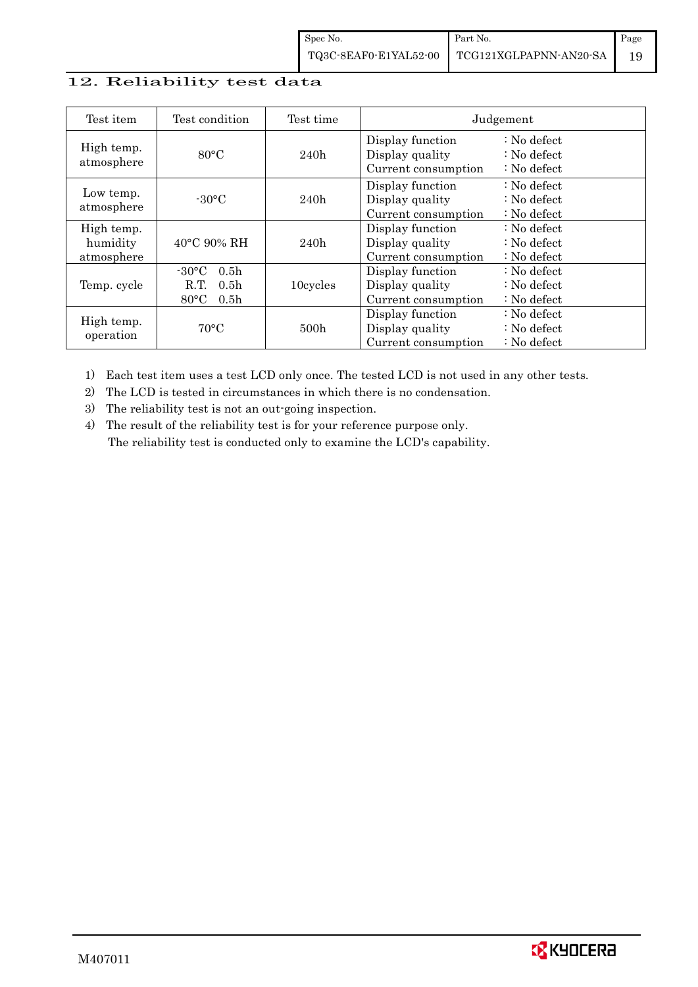## 12. Reliability test data

| Test item                            | Test condition                                                                                        | Test time        |                                                            | Judgement                                                                  |
|--------------------------------------|-------------------------------------------------------------------------------------------------------|------------------|------------------------------------------------------------|----------------------------------------------------------------------------|
| High temp.<br>atmosphere             | $80^{\circ}$ C                                                                                        | 240h             | Display function<br>Display quality<br>Current consumption | $\therefore$ No defect<br>$\therefore$ No defect<br>$\therefore$ No defect |
| Low temp.<br>atmosphere              | $-30$ °C                                                                                              | 240h             | Display function<br>Display quality<br>Current consumption | $\therefore$ No defect<br>$\therefore$ No defect<br>$\therefore$ No defect |
| High temp.<br>humidity<br>atmosphere | $40^{\circ}$ C 90% RH                                                                                 | 240h             | Display function<br>Display quality<br>Current consumption | : No defect<br>$\therefore$ No defect<br>$\therefore$ No defect            |
| Temp. cycle                          | $-30^{\circ}$ C<br>0.5 <sub>h</sub><br>0.5 <sub>h</sub><br>R.T.<br>$80^{\circ}$ C<br>0.5 <sub>h</sub> | 10cycles         | Display function<br>Display quality<br>Current consumption | $\therefore$ No defect<br>$\therefore$ No defect<br>$\therefore$ No defect |
| High temp.<br>operation              | $70^{\circ}$ C                                                                                        | 500 <sub>h</sub> | Display function<br>Display quality<br>Current consumption | $\therefore$ No defect<br>$\therefore$ No defect<br>$: No$ defect          |

1) Each test item uses a test LCD only once. The tested LCD is not used in any other tests.

2) The LCD is tested in circumstances in which there is no condensation.

3) The reliability test is not an out-going inspection.

4) The result of the reliability test is for your reference purpose only. The reliability test is conducted only to examine the LCD's capability.

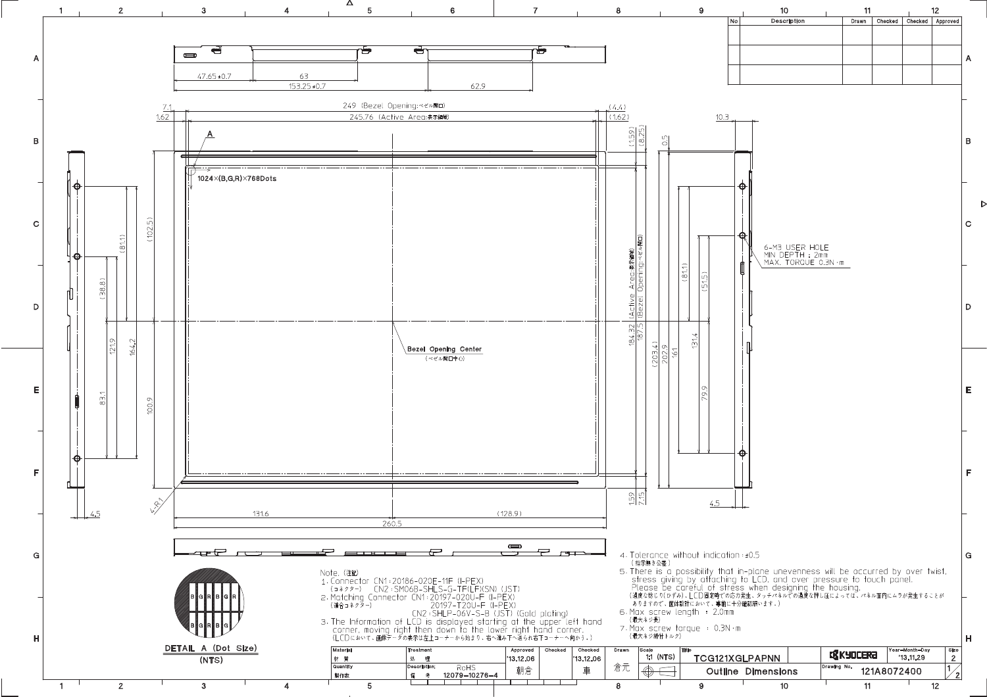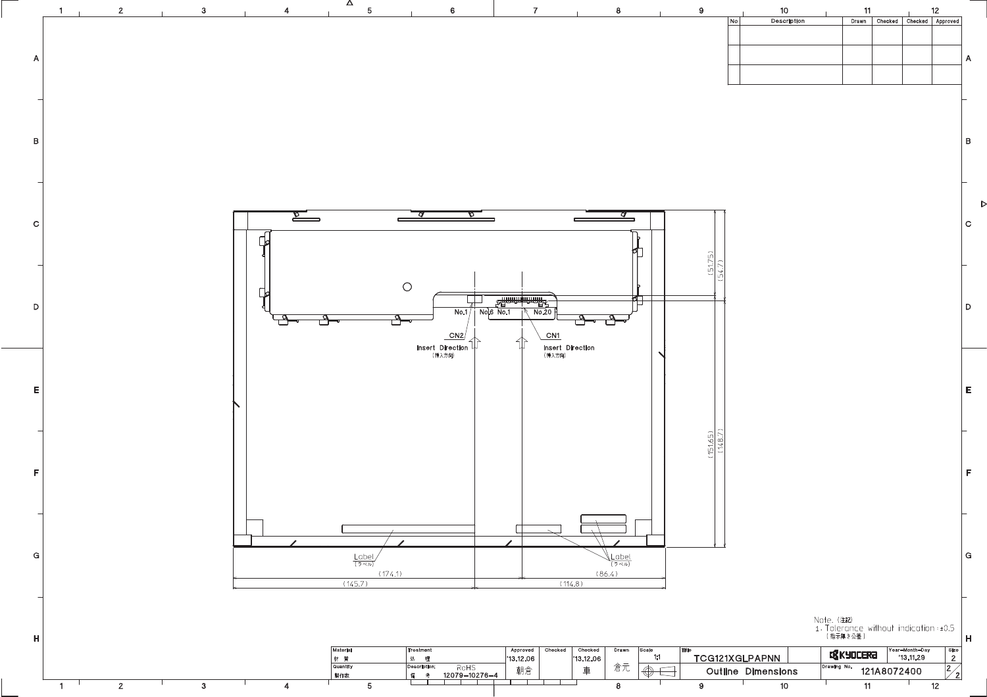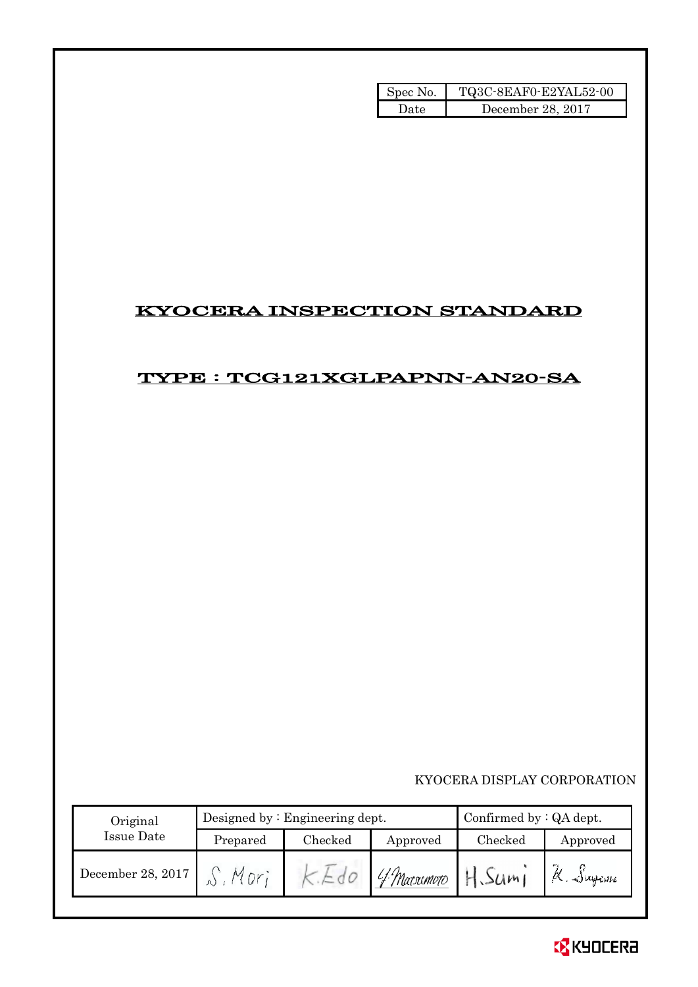| Spec No. | TQ3C-8EAF0-E2YAL52-00 |
|----------|-----------------------|
| ۱)ate    | December 28, 2017     |

## KYOCERA INSPECTION STANDARD

## TYPE : TCG121XGLPAPNN-AN20-SA

## KYOCERA DISPLAY CORPORATION

| Original          |          | Designed by $:$ Engineering dept. | Confirmed by : QA dept.   |                     |          |
|-------------------|----------|-----------------------------------|---------------------------|---------------------|----------|
| Issue Date        | Prepared | Checked<br>Approved               |                           | Checked<br>Approved |          |
| December 28, 2017 | Mor      |                                   | 'f Marsomo <del>i</del> o | H.Sum1              | K. Sugam |

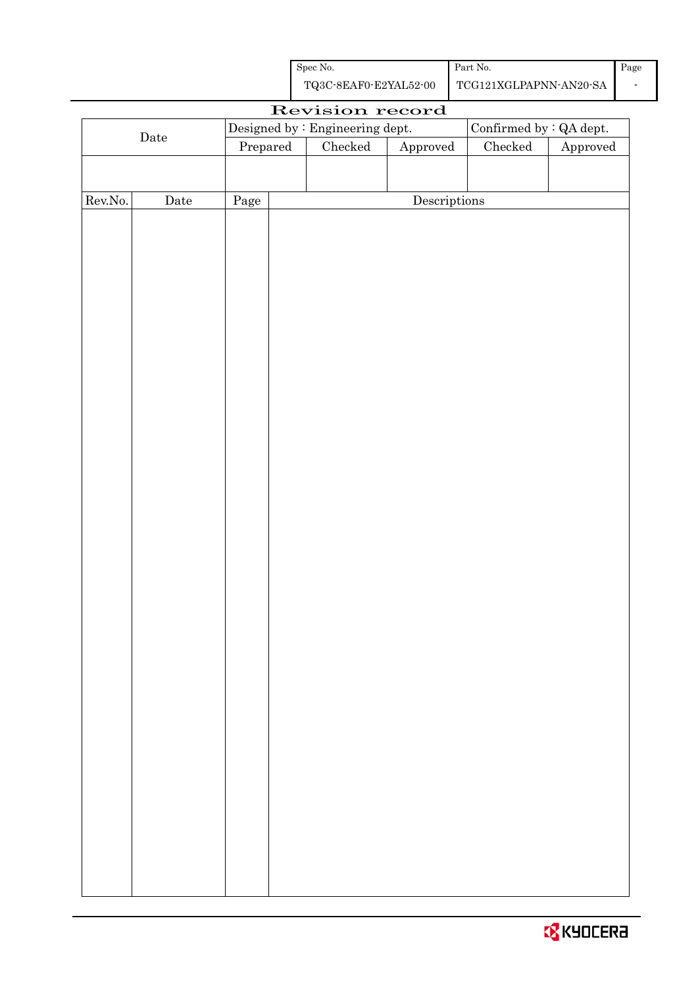| Spec No.              | Part No.               |  |
|-----------------------|------------------------|--|
| TQ3C-8EAF0-E2YAL52-00 | TCG121XGLPAPNN-AN20-SA |  |

| Revision record |      |                                  |  |                                |                                      |               |          |
|-----------------|------|----------------------------------|--|--------------------------------|--------------------------------------|---------------|----------|
|                 |      | Designed by : Engineering dept.  |  | Confirmed by $\colon$ QA dept. |                                      |               |          |
| $\rm{Date}$     |      | $\ensuremath{\mathrm{Prepared}}$ |  | Checked<br>Approved            |                                      | $\rm Checked$ | Approved |
|                 |      |                                  |  |                                |                                      |               |          |
|                 |      |                                  |  |                                |                                      |               |          |
| Rev.No.         | Date | Page                             |  |                                | $\label{eq:2} \textbf{Descriptions}$ |               |          |
|                 |      |                                  |  |                                |                                      |               |          |
|                 |      |                                  |  |                                |                                      |               |          |
|                 |      |                                  |  |                                |                                      |               |          |
|                 |      |                                  |  |                                |                                      |               |          |
|                 |      |                                  |  |                                |                                      |               |          |
|                 |      |                                  |  |                                |                                      |               |          |
|                 |      |                                  |  |                                |                                      |               |          |
|                 |      |                                  |  |                                |                                      |               |          |
|                 |      |                                  |  |                                |                                      |               |          |
|                 |      |                                  |  |                                |                                      |               |          |
|                 |      |                                  |  |                                |                                      |               |          |
|                 |      |                                  |  |                                |                                      |               |          |
|                 |      |                                  |  |                                |                                      |               |          |
|                 |      |                                  |  |                                |                                      |               |          |
|                 |      |                                  |  |                                |                                      |               |          |
|                 |      |                                  |  |                                |                                      |               |          |
|                 |      |                                  |  |                                |                                      |               |          |
|                 |      |                                  |  |                                |                                      |               |          |
|                 |      |                                  |  |                                |                                      |               |          |
|                 |      |                                  |  |                                |                                      |               |          |
|                 |      |                                  |  |                                |                                      |               |          |
|                 |      |                                  |  |                                |                                      |               |          |
|                 |      |                                  |  |                                |                                      |               |          |
|                 |      |                                  |  |                                |                                      |               |          |
|                 |      |                                  |  |                                |                                      |               |          |
|                 |      |                                  |  |                                |                                      |               |          |
|                 |      |                                  |  |                                |                                      |               |          |
|                 |      |                                  |  |                                |                                      |               |          |
|                 |      |                                  |  |                                |                                      |               |          |
|                 |      |                                  |  |                                |                                      |               |          |
|                 |      |                                  |  |                                |                                      |               |          |
|                 |      |                                  |  |                                |                                      |               |          |
|                 |      |                                  |  |                                |                                      |               |          |
|                 |      |                                  |  |                                |                                      |               |          |
|                 |      |                                  |  |                                |                                      |               |          |
|                 |      |                                  |  |                                |                                      |               |          |
|                 |      |                                  |  |                                |                                      |               |          |
|                 |      |                                  |  |                                |                                      |               |          |

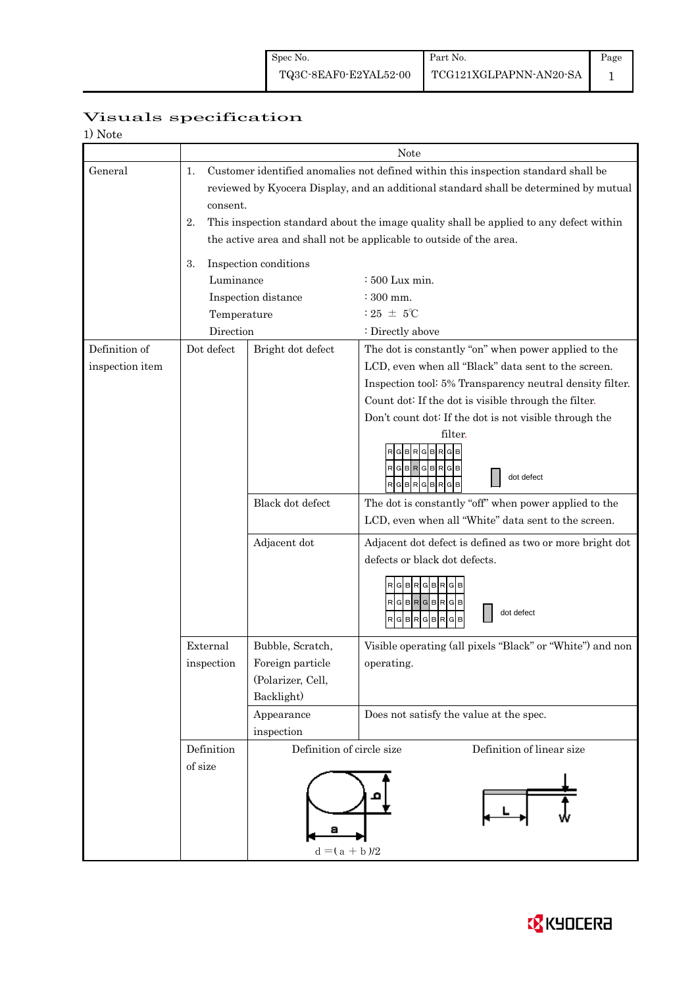Page 1

# Visuals specification

| 1) Note                          |                                                                                                                                                                                                                                                                                                                                                                      |                                                                                       |                                                                                                                                                                                                                                                                                                                                                                                                                                                                                                                                                                                                                                                                                        |  |  |  |
|----------------------------------|----------------------------------------------------------------------------------------------------------------------------------------------------------------------------------------------------------------------------------------------------------------------------------------------------------------------------------------------------------------------|---------------------------------------------------------------------------------------|----------------------------------------------------------------------------------------------------------------------------------------------------------------------------------------------------------------------------------------------------------------------------------------------------------------------------------------------------------------------------------------------------------------------------------------------------------------------------------------------------------------------------------------------------------------------------------------------------------------------------------------------------------------------------------------|--|--|--|
|                                  |                                                                                                                                                                                                                                                                                                                                                                      |                                                                                       | Note                                                                                                                                                                                                                                                                                                                                                                                                                                                                                                                                                                                                                                                                                   |  |  |  |
| General                          | Customer identified anomalies not defined within this inspection standard shall be<br>1.<br>reviewed by Kyocera Display, and an additional standard shall be determined by mutual<br>consent.<br>2.<br>This inspection standard about the image quality shall be applied to any defect within<br>the active area and shall not be applicable to outside of the area. |                                                                                       |                                                                                                                                                                                                                                                                                                                                                                                                                                                                                                                                                                                                                                                                                        |  |  |  |
|                                  | Inspection conditions<br>3.<br>Luminance<br>$\div 500$ Lux min.                                                                                                                                                                                                                                                                                                      |                                                                                       |                                                                                                                                                                                                                                                                                                                                                                                                                                                                                                                                                                                                                                                                                        |  |  |  |
|                                  |                                                                                                                                                                                                                                                                                                                                                                      | Inspection distance                                                                   | $:300$ mm.                                                                                                                                                                                                                                                                                                                                                                                                                                                                                                                                                                                                                                                                             |  |  |  |
|                                  | Temperature                                                                                                                                                                                                                                                                                                                                                          |                                                                                       | $:25 \pm 5^{\circ}$ C                                                                                                                                                                                                                                                                                                                                                                                                                                                                                                                                                                                                                                                                  |  |  |  |
|                                  | Direction                                                                                                                                                                                                                                                                                                                                                            |                                                                                       | : Directly above                                                                                                                                                                                                                                                                                                                                                                                                                                                                                                                                                                                                                                                                       |  |  |  |
| Definition of<br>inspection item | Dot defect                                                                                                                                                                                                                                                                                                                                                           | Bright dot defect<br>Black dot defect<br>Adjacent dot                                 | The dot is constantly "on" when power applied to the<br>LCD, even when all "Black" data sent to the screen.<br>Inspection tool: 5% Transparency neutral density filter.<br>Count dot: If the dot is visible through the filter.<br>Don't count dot: If the dot is not visible through the<br>filter.<br>R<br>G<br>B<br>R G B R G B R G B<br>dot defect<br>$G$ $B$ $R$ $G$ $B$ $R$<br>GIB<br>The dot is constantly "off" when power applied to the<br>LCD, even when all "White" data sent to the screen.<br>Adjacent dot defect is defined as two or more bright dot<br>defects or black dot defects.<br>R<br>G B<br><b>R</b><br>в<br>RGBRGBRGB<br>dot defect<br>GBRGBR<br>R<br>в<br>G |  |  |  |
|                                  | External<br>inspection                                                                                                                                                                                                                                                                                                                                               | Bubble, Scratch,<br>Foreign particle<br>(Polarizer, Cell,<br>Backlight)<br>Appearance | Visible operating (all pixels "Black" or "White") and non<br>operating.<br>Does not satisfy the value at the spec.                                                                                                                                                                                                                                                                                                                                                                                                                                                                                                                                                                     |  |  |  |
|                                  | Definition<br>of size                                                                                                                                                                                                                                                                                                                                                | inspection<br>Definition of circle size<br>а<br>$d = (a + b)/2$                       | Definition of linear size                                                                                                                                                                                                                                                                                                                                                                                                                                                                                                                                                                                                                                                              |  |  |  |